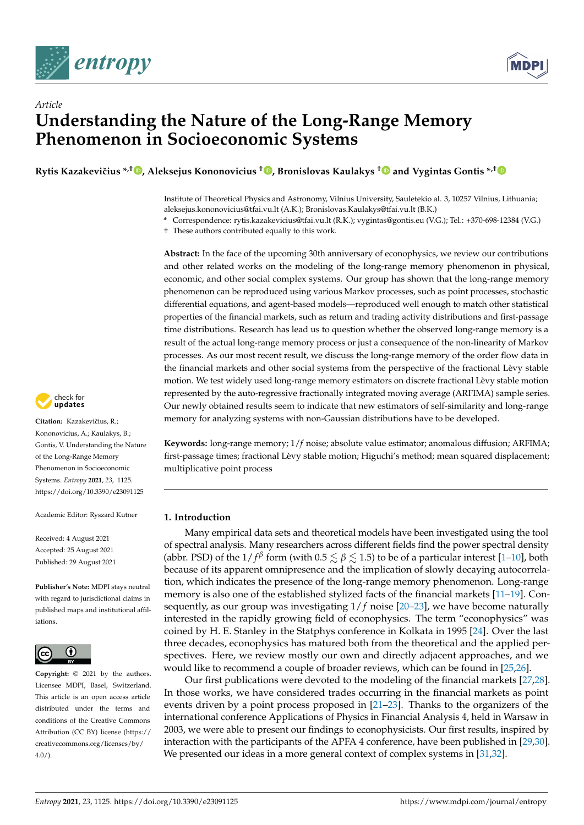



# *Article* **Understanding the Nature of the Long-Range Memory Phenomenon in Socioeconomic Systems**

**Rytis Kazakeviˇcius \*,† [,](https://orcid.org/0000-0002-0672-2288) Aleksejus Kononovicius † [,](https://orcid.org/0000-0001-6365-0252) Bronislovas Kaulakys [†](https://orcid.org/0000-0003-3988-8599) and Vygintas Gontis \*,[†](https://orcid.org/0000-0002-1859-1318)**

Institute of Theoretical Physics and Astronomy, Vilnius University, Sauletekio al. 3, 10257 Vilnius, Lithuania; aleksejus.kononovicius@tfai.vu.lt (A.K.); Bronislovas.Kaulakys@tfai.vu.lt (B.K.)

**\*** Correspondence: rytis.kazakevicius@tfai.vu.lt (R.K.); vygintas@gontis.eu (V.G.); Tel.: +370-698-12384 (V.G.)

† These authors contributed equally to this work.

**Abstract:** In the face of the upcoming 30th anniversary of econophysics, we review our contributions and other related works on the modeling of the long-range memory phenomenon in physical, economic, and other social complex systems. Our group has shown that the long-range memory phenomenon can be reproduced using various Markov processes, such as point processes, stochastic differential equations, and agent-based models—reproduced well enough to match other statistical properties of the financial markets, such as return and trading activity distributions and first-passage time distributions. Research has lead us to question whether the observed long-range memory is a result of the actual long-range memory process or just a consequence of the non-linearity of Markov processes. As our most recent result, we discuss the long-range memory of the order flow data in the financial markets and other social systems from the perspective of the fractional Lèvy stable motion. We test widely used long-range memory estimators on discrete fractional Lèvy stable motion represented by the auto-regressive fractionally integrated moving average (ARFIMA) sample series. Our newly obtained results seem to indicate that new estimators of self-similarity and long-range memory for analyzing systems with non-Gaussian distributions have to be developed.

**Keywords:** long-range memory; 1/*f* noise; absolute value estimator; anomalous diffusion; ARFIMA; first-passage times; fractional Lèvy stable motion; Higuchi's method; mean squared displacement; multiplicative point process

# **1. Introduction**

Many empirical data sets and theoretical models have been investigated using the tool of spectral analysis. Many researchers across different fields find the power spectral density (abbr. PSD) of the  $1/f^{\beta}$  form (with  $0.5 \lesssim \beta \lesssim 1.5$ ) to be of a particular interest [\[1](#page-23-0)[–10\]](#page-23-1), both because of its apparent omnipresence and the implication of slowly decaying autocorrelation, which indicates the presence of the long-range memory phenomenon. Long-range memory is also one of the established stylized facts of the financial markets [\[11](#page-23-2)[–19\]](#page-23-3). Consequently, as our group was investigating  $1/f$  noise  $[20-23]$  $[20-23]$ , we have become naturally interested in the rapidly growing field of econophysics. The term "econophysics" was coined by H. E. Stanley in the Statphys conference in Kolkata in 1995 [\[24\]](#page-23-6). Over the last three decades, econophysics has matured both from the theoretical and the applied perspectives. Here, we review mostly our own and directly adjacent approaches, and we would like to recommend a couple of broader reviews, which can be found in [\[25](#page-23-7)[,26\]](#page-23-8).

Our first publications were devoted to the modeling of the financial markets [\[27,](#page-23-9)[28\]](#page-23-10). In those works, we have considered trades occurring in the financial markets as point events driven by a point process proposed in [\[21](#page-23-11)[–23\]](#page-23-5). Thanks to the organizers of the international conference Applications of Physics in Financial Analysis 4, held in Warsaw in 2003, we were able to present our findings to econophysicists. Our first results, inspired by interaction with the participants of the APFA 4 conference, have been published in [\[29](#page-23-12)[,30\]](#page-23-13). We presented our ideas in a more general context of complex systems in [\[31,](#page-23-14)[32\]](#page-23-15).



**Citation:** Kazakevičius, R.; Kononovicius, A.; Kaulakys, B.; Gontis, V. Understanding the Nature of the Long-Range Memory Phenomenon in Socioeconomic Systems. *Entropy* **2021**, *23*, 1125. <https://doi.org/10.3390/e23091125>

Academic Editor: Ryszard Kutner

Received: 4 August 2021 Accepted: 25 August 2021 Published: 29 August 2021

**Publisher's Note:** MDPI stays neutral with regard to jurisdictional claims in published maps and institutional affiliations.



**Copyright:** © 2021 by the authors. Licensee MDPI, Basel, Switzerland. This article is an open access article distributed under the terms and conditions of the Creative Commons Attribution (CC BY) license (https:/[/](https://creativecommons.org/licenses/by/4.0/) [creativecommons.org/licenses/by/](https://creativecommons.org/licenses/by/4.0/)  $4.0/$ ).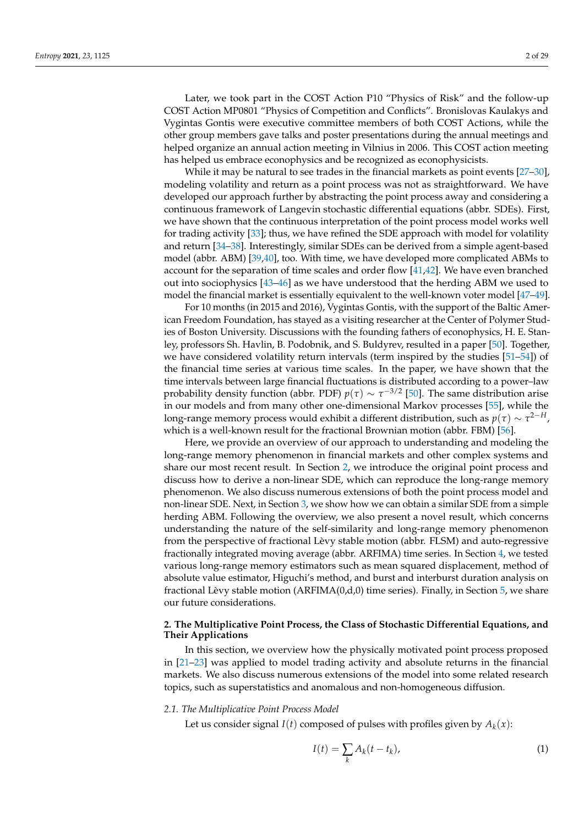Later, we took part in the COST Action P10 "Physics of Risk" and the follow-up COST Action MP0801 "Physics of Competition and Conflicts". Bronislovas Kaulakys and Vygintas Gontis were executive committee members of both COST Actions, while the other group members gave talks and poster presentations during the annual meetings and helped organize an annual action meeting in Vilnius in 2006. This COST action meeting has helped us embrace econophysics and be recognized as econophysicists.

While it may be natural to see trades in the financial markets as point events [\[27–](#page-23-9)[30\]](#page-23-13), modeling volatility and return as a point process was not as straightforward. We have developed our approach further by abstracting the point process away and considering a continuous framework of Langevin stochastic differential equations (abbr. SDEs). First, we have shown that the continuous interpretation of the point process model works well for trading activity [\[33\]](#page-24-0); thus, we have refined the SDE approach with model for volatility and return [\[34](#page-24-1)[–38\]](#page-24-2). Interestingly, similar SDEs can be derived from a simple agent-based model (abbr. ABM) [\[39,](#page-24-3)[40\]](#page-24-4), too. With time, we have developed more complicated ABMs to account for the separation of time scales and order flow [\[41](#page-24-5)[,42\]](#page-24-6). We have even branched out into sociophysics [\[43–](#page-24-7)[46\]](#page-24-8) as we have understood that the herding ABM we used to model the financial market is essentially equivalent to the well-known voter model [\[47](#page-24-9)[–49\]](#page-24-10).

For 10 months (in 2015 and 2016), Vygintas Gontis, with the support of the Baltic American Freedom Foundation, has stayed as a visiting researcher at the Center of Polymer Studies of Boston University. Discussions with the founding fathers of econophysics, H. E. Stanley, professors Sh. Havlin, B. Podobnik, and S. Buldyrev, resulted in a paper [\[50\]](#page-24-11). Together, we have considered volatility return intervals (term inspired by the studies  $[51–54]$  $[51–54]$ ) of the financial time series at various time scales. In the paper, we have shown that the time intervals between large financial fluctuations is distributed according to a power–law probability density function (abbr. PDF)  $p(\tau) \sim \tau^{-3/2}$  [\[50\]](#page-24-11). The same distribution arise in our models and from many other one-dimensional Markov processes [\[55\]](#page-24-14), while the long-range memory process would exhibit a different distribution, such as  $p(\tau) \sim \tau^{2-H}$ , which is a well-known result for the fractional Brownian motion (abbr. FBM) [\[56\]](#page-24-15).

Here, we provide an overview of our approach to understanding and modeling the long-range memory phenomenon in financial markets and other complex systems and share our most recent result. In Section [2,](#page-1-0) we introduce the original point process and discuss how to derive a non-linear SDE, which can reproduce the long-range memory phenomenon. We also discuss numerous extensions of both the point process model and non-linear SDE. Next, in Section [3,](#page-13-0) we show how we can obtain a similar SDE from a simple herding ABM. Following the overview, we also present a novel result, which concerns understanding the nature of the self-similarity and long-range memory phenomenon from the perspective of fractional Lèvy stable motion (abbr. FLSM) and auto-regressive fractionally integrated moving average (abbr. ARFIMA) time series. In Section [4,](#page-16-0) we tested various long-range memory estimators such as mean squared displacement, method of absolute value estimator, Higuchi's method, and burst and interburst duration analysis on fractional Lèvy stable motion (ARFIMA $(0,d,0)$ ) time series). Finally, in Section [5,](#page-21-0) we share our future considerations.

# <span id="page-1-0"></span>**2. The Multiplicative Point Process, the Class of Stochastic Differential Equations, and Their Applications**

In this section, we overview how the physically motivated point process proposed in [\[21](#page-23-11)[–23\]](#page-23-5) was applied to model trading activity and absolute returns in the financial markets. We also discuss numerous extensions of the model into some related research topics, such as superstatistics and anomalous and non-homogeneous diffusion.

#### *2.1. The Multiplicative Point Process Model*

Let us consider signal  $I(t)$  composed of pulses with profiles given by  $A_k(x)$ :

<span id="page-1-1"></span>
$$
I(t) = \sum_{k} A_k(t - t_k),
$$
\n(1)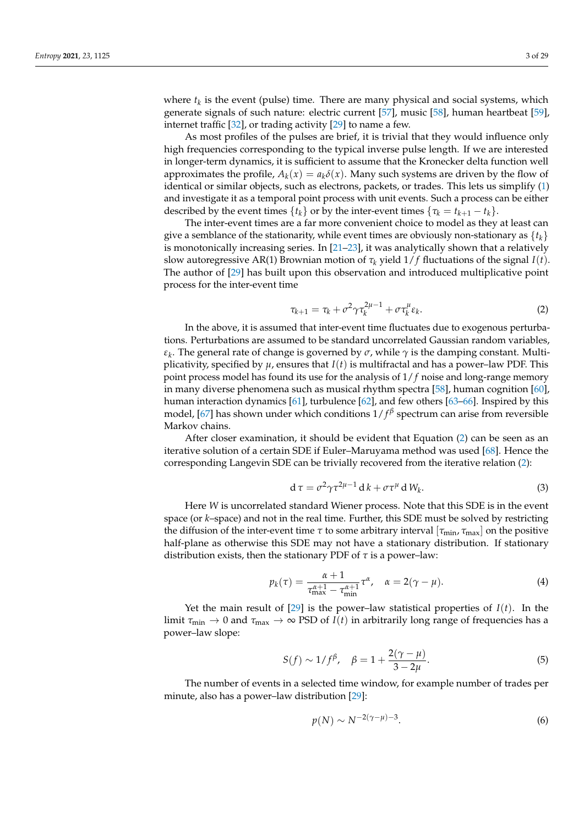where  $t_k$  is the event (pulse) time. There are many physical and social systems, which generate signals of such nature: electric current [\[57\]](#page-24-16), music [\[58\]](#page-24-17), human heartbeat [\[59\]](#page-24-18), internet traffic [\[32\]](#page-23-15), or trading activity [\[29\]](#page-23-12) to name a few.

As most profiles of the pulses are brief, it is trivial that they would influence only high frequencies corresponding to the typical inverse pulse length. If we are interested in longer-term dynamics, it is sufficient to assume that the Kronecker delta function well approximates the profile,  $A_k(x) = a_k \delta(x)$ . Many such systems are driven by the flow of identical or similar objects, such as electrons, packets, or trades. This lets us simplify [\(1\)](#page-1-1) and investigate it as a temporal point process with unit events. Such a process can be either described by the event times  $\{t_k\}$  or by the inter-event times  $\{\tau_k = t_{k+1} - t_k\}$ .

The inter-event times are a far more convenient choice to model as they at least can give a semblance of the stationarity, while event times are obviously non-stationary as  $\{t_k\}$ is monotonically increasing series. In  $[21-23]$  $[21-23]$ , it was analytically shown that a relatively slow autoregressive AR(1) Brownian motion of  $\tau_k$  yield  $1/f$  fluctuations of the signal  $I(t)$ . The author of [\[29\]](#page-23-12) has built upon this observation and introduced multiplicative point process for the inter-event time

<span id="page-2-0"></span>
$$
\tau_{k+1} = \tau_k + \sigma^2 \gamma \tau_k^{2\mu - 1} + \sigma \tau_k^{\mu} \varepsilon_k.
$$
 (2)

In the above, it is assumed that inter-event time fluctuates due to exogenous perturbations. Perturbations are assumed to be standard uncorrelated Gaussian random variables, *εk* . The general rate of change is governed by *σ*, while *γ* is the damping constant. Multiplicativity, specified by  $\mu$ , ensures that  $I(t)$  is multifractal and has a power–law PDF. This point process model has found its use for the analysis of 1/ *f* noise and long-range memory in many diverse phenomena such as musical rhythm spectra [\[58\]](#page-24-17), human cognition [\[60\]](#page-24-19), human interaction dynamics [\[61\]](#page-24-20), turbulence [\[62\]](#page-24-21), and few others [\[63](#page-24-22)[–66\]](#page-24-23). Inspired by this model, [\[67\]](#page-24-24) has shown under which conditions 1/ *f β* spectrum can arise from reversible Markov chains.

After closer examination, it should be evident that Equation [\(2\)](#page-2-0) can be seen as an iterative solution of a certain SDE if Euler–Maruyama method was used [\[68\]](#page-25-0). Hence the corresponding Langevin SDE can be trivially recovered from the iterative relation [\(2\)](#page-2-0):

<span id="page-2-1"></span>
$$
\mathrm{d}\,\tau = \sigma^2 \gamma \tau^{2\mu - 1}\,\mathrm{d}\,k + \sigma \tau^\mu\,\mathrm{d}\,W_k. \tag{3}
$$

Here *W* is uncorrelated standard Wiener process. Note that this SDE is in the event space (or *k*–space) and not in the real time. Further, this SDE must be solved by restricting the diffusion of the inter-event time *τ* to some arbitrary interval  $[τ<sub>min</sub>, τ<sub>max</sub>]$  on the positive half-plane as otherwise this SDE may not have a stationary distribution. If stationary distribution exists, then the stationary PDF of *τ* is a power–law:

$$
p_k(\tau) = \frac{\alpha + 1}{\tau_{\text{max}}^{\alpha + 1} - \tau_{\text{min}}^{\alpha + 1}} \tau^{\alpha}, \quad \alpha = 2(\gamma - \mu). \tag{4}
$$

Yet the main result of  $[29]$  is the power–law statistical properties of  $I(t)$ . In the limit  $\tau_{min} \to 0$  and  $\tau_{max} \to \infty$  PSD of *I*(*t*) in arbitrarily long range of frequencies has a power–law slope:

$$
S(f) \sim 1/f^{\beta}, \quad \beta = 1 + \frac{2(\gamma - \mu)}{3 - 2\mu}.
$$
 (5)

The number of events in a selected time window, for example number of trades per minute, also has a power–law distribution [\[29\]](#page-23-12):

$$
p(N) \sim N^{-2(\gamma - \mu) - 3}.\tag{6}
$$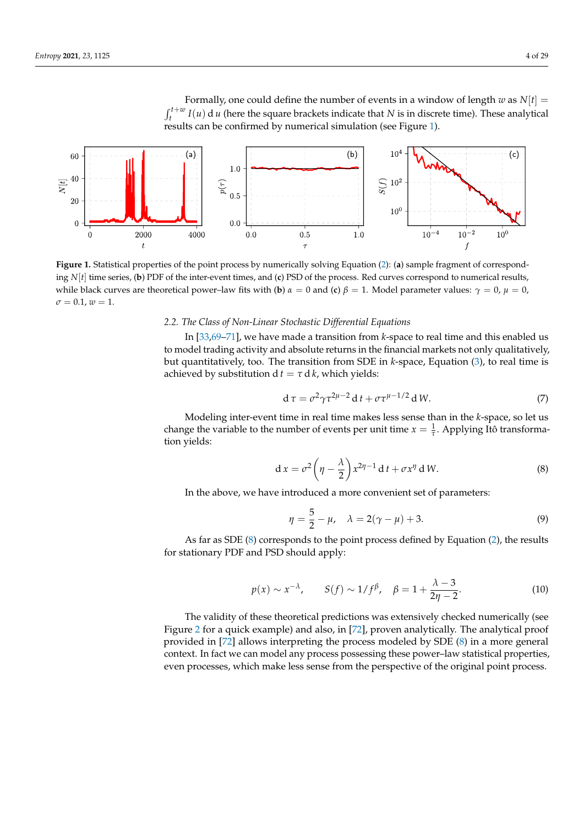Formally, one could define the number of events in a window of length  $w$  as  $N[t] =$  $\int_t^{t+w} I(u) \, \mathrm{d}u$  (here the square brackets indicate that *N* is in discrete time). These analytical results can be confirmed by numerical simulation (see Figure [1\)](#page-3-0).

<span id="page-3-0"></span>

**Figure 1.** Statistical properties of the point process by numerically solving Equation [\(2\)](#page-2-0): (**a**) sample fragment of corresponding *N*[*t*] time series, (**b**) PDF of the inter-event times, and (**c**) PSD of the process. Red curves correspond to numerical results, while black curves are theoretical power–law fits with (**b**)  $\alpha = 0$  and (**c**)  $\beta = 1$ . Model parameter values:  $\gamma = 0$ ,  $\mu = 0$ ,  $\sigma = 0.1, w = 1.$ 

## *2.2. The Class of Non-Linear Stochastic Differential Equations*

In [\[33,](#page-24-0)[69–](#page-25-1)[71\]](#page-25-2), we have made a transition from *k*-space to real time and this enabled us to model trading activity and absolute returns in the financial markets not only qualitatively, but quantitatively, too. The transition from SDE in *k*-space, Equation [\(3\)](#page-2-1), to real time is achieved by substitution  $d t = \tau d k$ , which yields:

$$
\mathrm{d}\,\tau = \sigma^2 \gamma \tau^{2\mu - 2}\,\mathrm{d}\,t + \sigma \tau^{\mu - 1/2}\,\mathrm{d}\,W. \tag{7}
$$

Modeling inter-event time in real time makes less sense than in the *k*-space, so let us change the variable to the number of events per unit time  $x = \frac{1}{\tau}$ . Applying Itô transformation yields:

<span id="page-3-1"></span>
$$
d x = \sigma^2 \left( \eta - \frac{\lambda}{2} \right) x^{2\eta - 1} dt + \sigma x^{\eta} d W.
$$
 (8)

In the above, we have introduced a more convenient set of parameters:

<span id="page-3-2"></span>
$$
\eta = \frac{5}{2} - \mu, \quad \lambda = 2(\gamma - \mu) + 3. \tag{9}
$$

As far as SDE [\(8\)](#page-3-1) corresponds to the point process defined by Equation [\(2\)](#page-2-0), the results for stationary PDF and PSD should apply:

$$
p(x) \sim x^{-\lambda}, \qquad S(f) \sim 1/f^{\beta}, \quad \beta = 1 + \frac{\lambda - 3}{2\eta - 2}.
$$
 (10)

The validity of these theoretical predictions was extensively checked numerically (see Figure [2](#page-4-0) for a quick example) and also, in [\[72\]](#page-25-3), proven analytically. The analytical proof provided in [\[72\]](#page-25-3) allows interpreting the process modeled by SDE [\(8\)](#page-3-1) in a more general context. In fact we can model any process possessing these power–law statistical properties, even processes, which make less sense from the perspective of the original point process.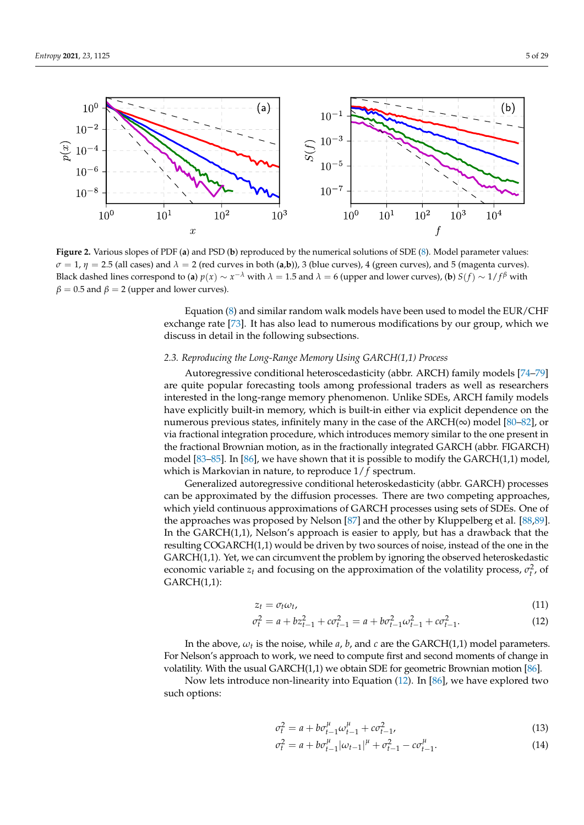<span id="page-4-0"></span>

**Figure 2.** Various slopes of PDF (**a**) and PSD (**b**) reproduced by the numerical solutions of SDE [\(8\)](#page-3-1). Model parameter values:  $\sigma = 1$ ,  $\eta = 2.5$  (all cases) and  $\lambda = 2$  (red curves in both (**a**,**b**)), 3 (blue curves), 4 (green curves), and 5 (magenta curves). Black dashed lines correspond to (**a**)  $p(x) \sim x^{-\lambda}$  with  $\lambda = 1.5$  and  $\lambda = 6$  (upper and lower curves), (**b**)  $S(f) \sim 1/f^{\beta}$  with  $\beta = 0.5$  and  $\beta = 2$  (upper and lower curves).

Equation [\(8\)](#page-3-1) and similar random walk models have been used to model the EUR/CHF exchange rate [\[73\]](#page-25-4). It has also lead to numerous modifications by our group, which we discuss in detail in the following subsections.

# *2.3. Reproducing the Long-Range Memory Using GARCH(1,1) Process*

Autoregressive conditional heteroscedasticity (abbr. ARCH) family models [\[74–](#page-25-5)[79\]](#page-25-6) are quite popular forecasting tools among professional traders as well as researchers interested in the long-range memory phenomenon. Unlike SDEs, ARCH family models have explicitly built-in memory, which is built-in either via explicit dependence on the numerous previous states, infinitely many in the case of the ARCH( $\infty$ ) model [\[80–](#page-25-7)[82\]](#page-25-8), or via fractional integration procedure, which introduces memory similar to the one present in the fractional Brownian motion, as in the fractionally integrated GARCH (abbr. FIGARCH) model [\[83](#page-25-9)[–85\]](#page-25-10). In [\[86\]](#page-25-11), we have shown that it is possible to modify the GARCH(1,1) model, which is Markovian in nature, to reproduce 1/ *f* spectrum.

Generalized autoregressive conditional heteroskedasticity (abbr. GARCH) processes can be approximated by the diffusion processes. There are two competing approaches, which yield continuous approximations of GARCH processes using sets of SDEs. One of the approaches was proposed by Nelson [\[87\]](#page-25-12) and the other by Kluppelberg et al. [\[88,](#page-25-13)[89\]](#page-25-14). In the GARCH(1,1), Nelson's approach is easier to apply, but has a drawback that the resulting COGARCH(1,1) would be driven by two sources of noise, instead of the one in the GARCH(1,1). Yet, we can circumvent the problem by ignoring the observed heteroskedastic economic variable  $z_t$  and focusing on the approximation of the volatility process,  $\sigma_t^2$ , of GARCH(1,1):

<span id="page-4-1"></span>
$$
z_t = \sigma_t \omega_t, \tag{11}
$$

$$
\sigma_t^2 = a + bz_{t-1}^2 + c\sigma_{t-1}^2 = a + b\sigma_{t-1}^2\omega_{t-1}^2 + c\sigma_{t-1}^2.
$$
\n(12)

In the above,  $\omega_t$  is the noise, while *a*, *b*, and *c* are the GARCH(1,1) model parameters. For Nelson's approach to work, we need to compute first and second moments of change in volatility. With the usual GARCH(1,1) we obtain SDE for geometric Brownian motion [\[86\]](#page-25-11).

Now lets introduce non-linearity into Equation [\(12\)](#page-4-1). In [\[86\]](#page-25-11), we have explored two such options:

$$
\sigma_t^2 = a + b\sigma_{t-1}^{\mu} \omega_{t-1}^{\mu} + c\sigma_{t-1}^2,
$$
\n(13)

$$
\sigma_t^2 = a + b\sigma_{t-1}^{\mu}|\omega_{t-1}|^{\mu} + \sigma_{t-1}^2 - c\sigma_{t-1}^{\mu}.
$$
\n(14)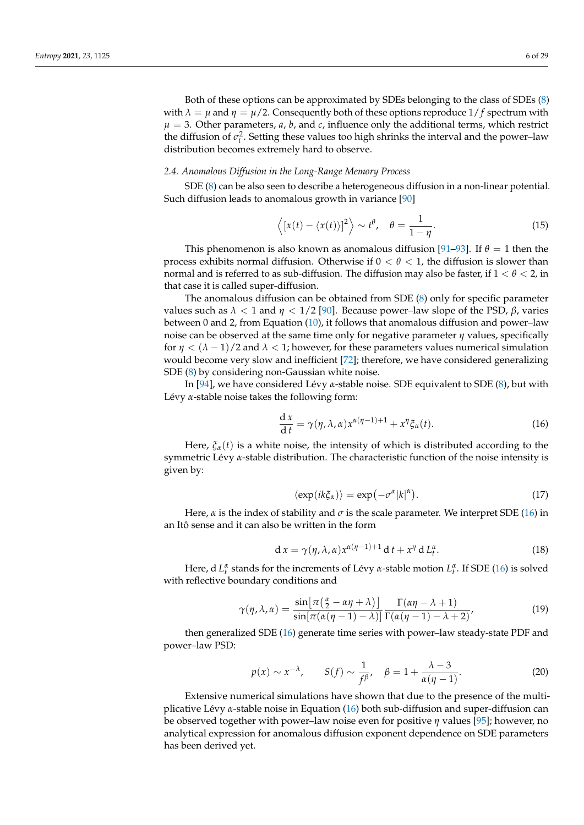Both of these options can be approximated by SDEs belonging to the class of SDEs [\(8\)](#page-3-1) with  $\lambda = \mu$  and  $\eta = \mu/2$ . Consequently both of these options reproduce  $1/f$  spectrum with  $\mu = 3$ . Other parameters, *a*, *b*, and *c*, influence only the additional terms, which restrict the diffusion of  $\sigma_t^2$ . Setting these values too high shrinks the interval and the power–law distribution becomes extremely hard to observe.

#### *2.4. Anomalous Diffusion in the Long-Range Memory Process*

SDE [\(8\)](#page-3-1) can be also seen to describe a heterogeneous diffusion in a non-linear potential. Such diffusion leads to anomalous growth in variance [\[90\]](#page-25-15)

$$
\langle [x(t) - \langle x(t) \rangle]^2 \rangle \sim t^{\theta}, \quad \theta = \frac{1}{1 - \eta}.
$$
 (15)

This phenomenon is also known as anomalous diffusion [\[91–](#page-25-16)[93\]](#page-25-17). If *θ* = 1 then the process exhibits normal diffusion. Otherwise if  $0 < \theta < 1$ , the diffusion is slower than normal and is referred to as sub-diffusion. The diffusion may also be faster, if 1 < *θ* < 2, in that case it is called super-diffusion.

The anomalous diffusion can be obtained from SDE [\(8\)](#page-3-1) only for specific parameter values such as *λ* < 1 and *η* < 1/2 [\[90\]](#page-25-15). Because power–law slope of the PSD, *β*, varies between 0 and 2, from Equation [\(10\)](#page-3-2), it follows that anomalous diffusion and power–law noise can be observed at the same time only for negative parameter *η* values, specifically for  $\eta < (\lambda - 1)/2$  and  $\lambda < 1$ ; however, for these parameters values numerical simulation would become very slow and inefficient [\[72\]](#page-25-3); therefore, we have considered generalizing SDE [\(8\)](#page-3-1) by considering non-Gaussian white noise.

In [\[94\]](#page-25-18), we have considered Lévy *α*-stable noise. SDE equivalent to SDE [\(8\)](#page-3-1), but with Lévy *α*-stable noise takes the following form:

<span id="page-5-0"></span>
$$
\frac{\mathrm{d}x}{\mathrm{d}t} = \gamma(\eta, \lambda, \alpha) x^{\alpha(\eta - 1) + 1} + x^{\eta} \xi_{\alpha}(t). \tag{16}
$$

Here,  $\xi_{\alpha}(t)$  is a white noise, the intensity of which is distributed according to the symmetric Lévy *α*-stable distribution. The characteristic function of the noise intensity is given by:

$$
\langle \exp(ik\xi_{\alpha}) \rangle = \exp(-\sigma^{\alpha} |k|^{\alpha}). \tag{17}
$$

Here,  $\alpha$  is the index of stability and  $\sigma$  is the scale parameter. We interpret SDE [\(16\)](#page-5-0) in an Itô sense and it can also be written in the form

$$
d x = \gamma(\eta, \lambda, \alpha) x^{\alpha(\eta - 1) + 1} dt + x^{\eta} d L_t^{\alpha}.
$$
 (18)

Here, d *L*<sup>α</sup> stands for the increments of Lévy *α*-stable motion *L*<sup>α</sup>. If SDE [\(16\)](#page-5-0) is solved with reflective boundary conditions and

$$
\gamma(\eta, \lambda, \alpha) = \frac{\sin\left[\pi\left(\frac{\alpha}{2} - \alpha \eta + \lambda\right)\right]}{\sin\left[\pi\left(\alpha(\eta - 1) - \lambda\right)\right]} \frac{\Gamma(\alpha \eta - \lambda + 1)}{\Gamma(\alpha(\eta - 1) - \lambda + 2)},\tag{19}
$$

then generalized SDE [\(16\)](#page-5-0) generate time series with power–law steady-state PDF and power–law PSD:

$$
p(x) \sim x^{-\lambda}, \qquad S(f) \sim \frac{1}{f^{\beta}}, \quad \beta = 1 + \frac{\lambda - 3}{\alpha(\eta - 1)}.
$$
 (20)

Extensive numerical simulations have shown that due to the presence of the multiplicative Lévy *α*-stable noise in Equation [\(16\)](#page-5-0) both sub-diffusion and super-diffusion can be observed together with power–law noise even for positive *η* values [\[95\]](#page-25-19); however, no analytical expression for anomalous diffusion exponent dependence on SDE parameters has been derived yet.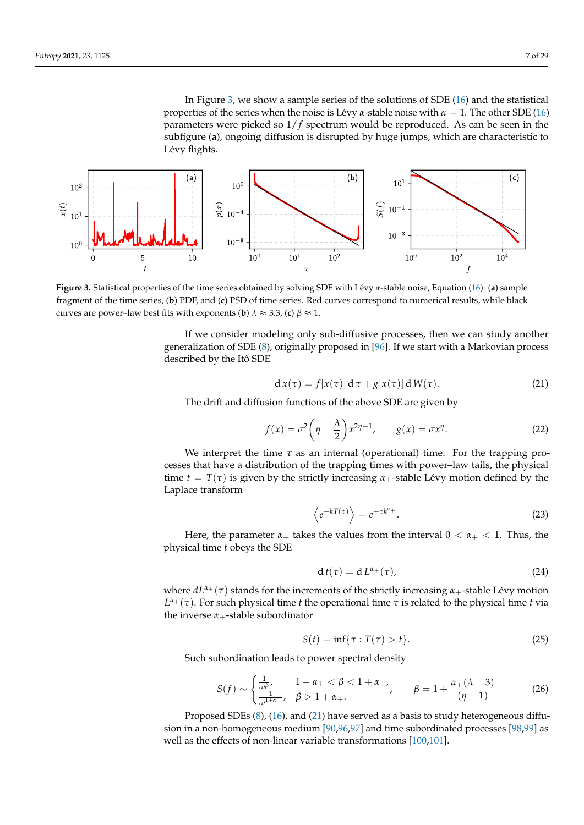In Figure [3,](#page-6-0) we show a sample series of the solutions of SDE [\(16\)](#page-5-0) and the statistical properties of the series when the noise is Lévy  $\alpha$ -stable noise with  $\alpha = 1$ . The other SDE [\(16\)](#page-5-0) parameters were picked so 1/ *f* spectrum would be reproduced. As can be seen in the subfigure (**a**), ongoing diffusion is disrupted by huge jumps, which are characteristic to Lévy flights.

<span id="page-6-0"></span>

**Figure 3.** Statistical properties of the time series obtained by solving SDE with Lévy *α*-stable noise, Equation [\(16\)](#page-5-0): (**a**) sample fragment of the time series, (**b**) PDF, and (**c**) PSD of time series. Red curves correspond to numerical results, while black curves are power–law best fits with exponents (**b**)  $\lambda \approx 3.3$ , (**c**)  $\beta \approx 1$ .

If we consider modeling only sub-diffusive processes, then we can study another generalization of SDE [\(8\)](#page-3-1), originally proposed in [\[96\]](#page-25-20). If we start with a Markovian process described by the Itô SDE

<span id="page-6-1"></span>
$$
d x(\tau) = f[x(\tau)] d \tau + g[x(\tau)] d W(\tau). \tag{21}
$$

The drift and diffusion functions of the above SDE are given by

$$
f(x) = \sigma^2 \left(\eta - \frac{\lambda}{2}\right) x^{2\eta - 1}, \qquad g(x) = \sigma x^{\eta}.
$$
 (22)

We interpret the time  $\tau$  as an internal (operational) time. For the trapping processes that have a distribution of the trapping times with power–law tails, the physical time  $t = T(\tau)$  is given by the strictly increasing  $\alpha_+$ -stable Lévy motion defined by the Laplace transform

$$
\left\langle e^{-kT(\tau)} \right\rangle = e^{-\tau k^{\alpha_{+}}}.
$$
\n(23)

Here, the parameter  $\alpha_+$  takes the values from the interval  $0 < \alpha_+ < 1$ . Thus, the physical time *t* obeys the SDE

$$
dt(\tau) = d L^{\alpha_+}(\tau), \qquad (24)
$$

where  $dL^{\alpha+}(\tau)$  stands for the increments of the strictly increasing  $\alpha_+$ -stable Lévy motion *L <sup>α</sup>*<sup>+</sup> (*τ*). For such physical time *t* the operational time *τ* is related to the physical time *t* via the inverse  $\alpha_+$ -stable subordinator

$$
S(t) = \inf\{\tau : T(\tau) > t\}.
$$
\n
$$
(25)
$$

Such subordination leads to power spectral density

$$
S(f) \sim \begin{cases} \frac{1}{\omega^{\beta}}, & 1 - \alpha_{+} < \beta < 1 + \alpha_{+}, \\ \frac{1}{\omega^{1+\alpha_{+}}}, & \beta > 1 + \alpha_{+}. \end{cases} \qquad \beta = 1 + \frac{\alpha_{+}(\lambda - 3)}{(\eta - 1)} \tag{26}
$$

Proposed SDEs [\(8\)](#page-3-1), [\(16\)](#page-5-0), and [\(21\)](#page-6-1) have served as a basis to study heterogeneous diffusion in a non-homogeneous medium [\[90](#page-25-15)[,96](#page-25-20)[,97\]](#page-25-21) and time subordinated processes [\[98](#page-25-22)[,99\]](#page-25-23) as well as the effects of non-linear variable transformations [\[100,](#page-25-24)[101\]](#page-25-25).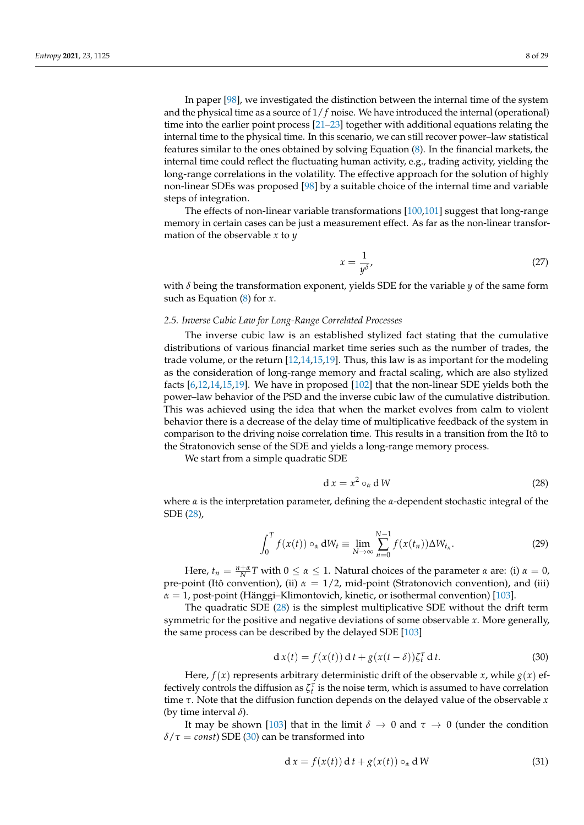In paper [\[98\]](#page-25-22), we investigated the distinction between the internal time of the system and the physical time as a source of 1/ *f* noise. We have introduced the internal (operational) time into the earlier point process  $[21-23]$  $[21-23]$  together with additional equations relating the internal time to the physical time. In this scenario, we can still recover power–law statistical features similar to the ones obtained by solving Equation [\(8\)](#page-3-1). In the financial markets, the internal time could reflect the fluctuating human activity, e.g., trading activity, yielding the long-range correlations in the volatility. The effective approach for the solution of highly non-linear SDEs was proposed [\[98\]](#page-25-22) by a suitable choice of the internal time and variable steps of integration.

The effects of non-linear variable transformations [\[100](#page-25-24)[,101\]](#page-25-25) suggest that long-range memory in certain cases can be just a measurement effect. As far as the non-linear transformation of the observable *x* to *y*

$$
x = \frac{1}{y^{\delta}},\tag{27}
$$

with  $\delta$  being the transformation exponent, yields SDE for the variable  $\gamma$  of the same form such as Equation [\(8\)](#page-3-1) for *x*.

# *2.5. Inverse Cubic Law for Long-Range Correlated Processes*

The inverse cubic law is an established stylized fact stating that the cumulative distributions of various financial market time series such as the number of trades, the trade volume, or the return [\[12,](#page-23-16)[14,](#page-23-17)[15,](#page-23-18)[19\]](#page-23-3). Thus, this law is as important for the modeling as the consideration of long-range memory and fractal scaling, which are also stylized facts [\[6,](#page-23-19)[12,](#page-23-16)[14,](#page-23-17)[15,](#page-23-18)[19\]](#page-23-3). We have in proposed [\[102\]](#page-26-0) that the non-linear SDE yields both the power–law behavior of the PSD and the inverse cubic law of the cumulative distribution. This was achieved using the idea that when the market evolves from calm to violent behavior there is a decrease of the delay time of multiplicative feedback of the system in comparison to the driving noise correlation time. This results in a transition from the Itô to the Stratonovich sense of the SDE and yields a long-range memory process.

We start from a simple quadratic SDE

<span id="page-7-0"></span>
$$
d x = x^2 o_\alpha d W \tag{28}
$$

where *α* is the interpretation parameter, defining the *α*-dependent stochastic integral of the SDE [\(28\)](#page-7-0),

$$
\int_0^T f(x(t)) \circ_\alpha dW_t \equiv \lim_{N \to \infty} \sum_{n=0}^{N-1} f(x(t_n)) \Delta W_{t_n}.
$$
 (29)

Here,  $t_n = \frac{n + \alpha}{N}T$  with  $0 \le \alpha \le 1$ . Natural choices of the parameter  $\alpha$  are: (i)  $\alpha = 0$ , pre-point (Itô convention), (ii) *α* = 1/2, mid-point (Stratonovich convention), and (iii) *α* = 1, post-point (Hänggi–Klimontovich, kinetic, or isothermal convention) [\[103\]](#page-26-1).

The quadratic SDE [\(28\)](#page-7-0) is the simplest multiplicative SDE without the drift term symmetric for the positive and negative deviations of some observable *x*. More generally, the same process can be described by the delayed SDE [\[103\]](#page-26-1)

<span id="page-7-1"></span>
$$
d x(t) = f(x(t)) dt + g(x(t - \delta)) \zeta_t^{\tau} dt.
$$
 (30)

Here,  $f(x)$  represents arbitrary deterministic drift of the observable *x*, while  $g(x)$  effectively controls the diffusion as  $\zeta_t^{\tau}$  is the noise term, which is assumed to have correlation time *τ*. Note that the diffusion function depends on the delayed value of the observable *x* (by time interval *δ*).

It may be shown [\[103\]](#page-26-1) that in the limit  $\delta \to 0$  and  $\tau \to 0$  (under the condition  $\delta/\tau = \text{const}$ ) SDE [\(30\)](#page-7-1) can be transformed into

$$
d x = f(x(t)) dt + g(x(t)) o_{\alpha} d W
$$
 (31)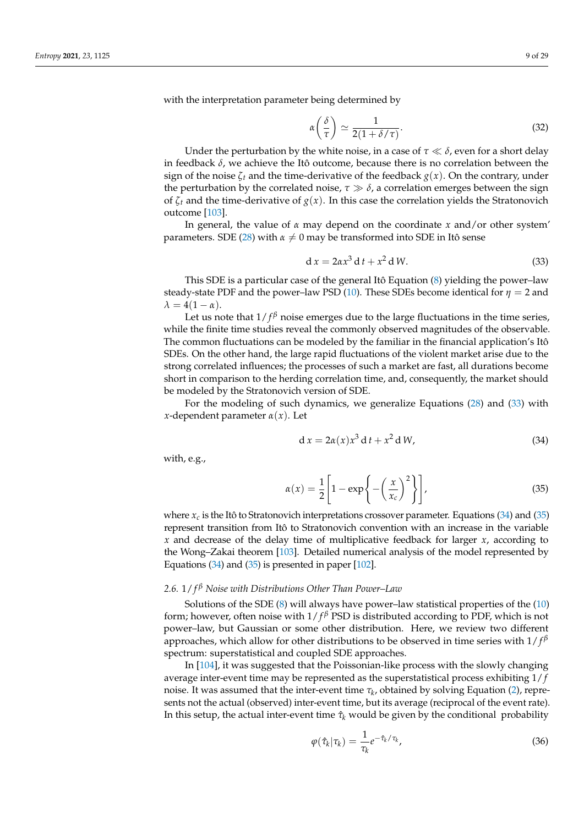with the interpretation parameter being determined by

$$
\alpha\left(\frac{\delta}{\tau}\right) \simeq \frac{1}{2(1+\delta/\tau)}.\tag{32}
$$

Under the perturbation by the white noise, in a case of  $\tau \ll \delta$ , even for a short delay in feedback *δ*, we achieve the Itô outcome, because there is no correlation between the sign of the noise  $\zeta_t$  and the time-derivative of the feedback  $g(x)$ . On the contrary, under the perturbation by the correlated noise,  $\tau \gg \delta$ , a correlation emerges between the sign of  $\zeta_t$  and the time-derivative of  $g(x)$ . In this case the correlation yields the Stratonovich outcome [\[103\]](#page-26-1).

In general, the value of *α* may depend on the coordinate *x* and/or other system' parameters. SDE [\(28\)](#page-7-0) with  $\alpha \neq 0$  may be transformed into SDE in Itô sense

<span id="page-8-0"></span>
$$
d x = 2\alpha x^3 d t + x^2 d W.
$$
 (33)

This SDE is a particular case of the general Itô Equation [\(8\)](#page-3-1) yielding the power–law steady-state PDF and the power–law PSD [\(10\)](#page-3-2). These SDEs become identical for  $\eta = 2$  and  $\lambda = 4(1 - \alpha)$ .

Let us note that  $1/f^{\beta}$  noise emerges due to the large fluctuations in the time series, while the finite time studies reveal the commonly observed magnitudes of the observable. The common fluctuations can be modeled by the familiar in the financial application's Itô SDEs. On the other hand, the large rapid fluctuations of the violent market arise due to the strong correlated influences; the processes of such a market are fast, all durations become short in comparison to the herding correlation time, and, consequently, the market should be modeled by the Stratonovich version of SDE.

For the modeling of such dynamics, we generalize Equations [\(28\)](#page-7-0) and [\(33\)](#page-8-0) with *x*-dependent parameter *α*(*x*). Let

<span id="page-8-1"></span>
$$
d x = 2\alpha(x)x^3 d t + x^2 d W,
$$
\n(34)

with, e.g.,

<span id="page-8-2"></span>
$$
\alpha(x) = \frac{1}{2} \left[ 1 - \exp\left\{ -\left(\frac{x}{x_c}\right)^2 \right\} \right],\tag{35}
$$

where  $x_c$  is the Itô to Stratonovich interpretations crossover parameter. Equations  $(34)$  and  $(35)$ represent transition from Itô to Stratonovich convention with an increase in the variable *x* and decrease of the delay time of multiplicative feedback for larger *x*, according to the Wong–Zakai theorem [\[103\]](#page-26-1). Detailed numerical analysis of the model represented by Equations [\(34\)](#page-8-1) and [\(35\)](#page-8-2) is presented in paper [\[102\]](#page-26-0).

# <span id="page-8-4"></span>*2.6.* 1/ *f <sup>β</sup> Noise with Distributions Other Than Power–Law*

Solutions of the SDE [\(8\)](#page-3-1) will always have power–law statistical properties of the [\(10\)](#page-3-2) form; however, often noise with 1/ *f <sup>β</sup>* PSD is distributed according to PDF, which is not power–law, but Gaussian or some other distribution. Here, we review two different approaches, which allow for other distributions to be observed in time series with 1/ *f β* spectrum: superstatistical and coupled SDE approaches.

In [\[104\]](#page-26-2), it was suggested that the Poissonian-like process with the slowly changing average inter-event time may be represented as the superstatistical process exhibiting  $1/f$ noise. It was assumed that the inter-event time *τ<sup>k</sup>* , obtained by solving Equation [\(2\)](#page-2-0), represents not the actual (observed) inter-event time, but its average (reciprocal of the event rate). In this setup, the actual inter-event time  $\hat{\tau}_k$  would be given by the conditional probability

<span id="page-8-3"></span>
$$
\varphi(\hat{\tau}_k|\tau_k) = \frac{1}{\tau_k} e^{-\hat{\tau}_k/\tau_k},\tag{36}
$$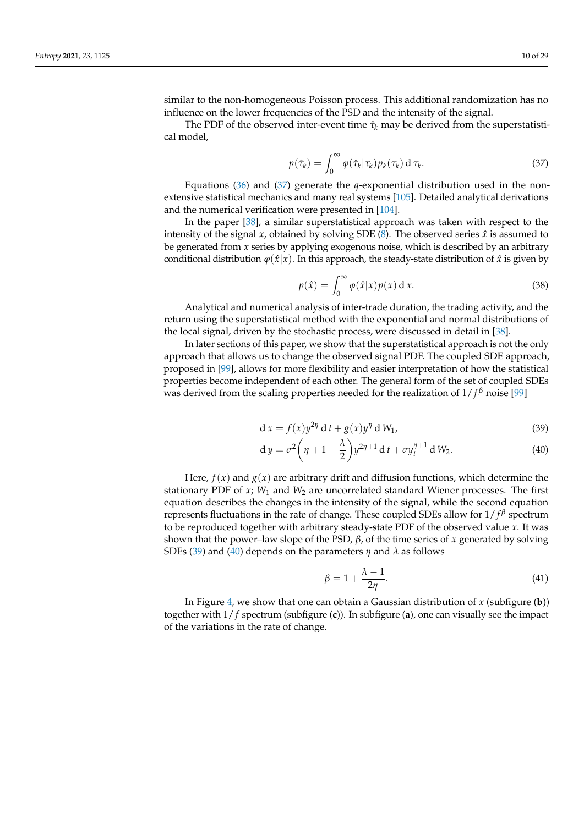similar to the non-homogeneous Poisson process. This additional randomization has no influence on the lower frequencies of the PSD and the intensity of the signal.

The PDF of the observed inter-event time  $\hat{\tau}_k$  may be derived from the superstatistical model,

<span id="page-9-0"></span>
$$
p(\hat{\tau}_k) = \int_0^\infty \varphi(\hat{\tau}_k|\tau_k) p_k(\tau_k) \, \mathrm{d}\,\tau_k. \tag{37}
$$

Equations [\(36\)](#page-8-3) and [\(37\)](#page-9-0) generate the *q*-exponential distribution used in the nonextensive statistical mechanics and many real systems [\[105\]](#page-26-3). Detailed analytical derivations and the numerical verification were presented in [\[104\]](#page-26-2).

In the paper [\[38\]](#page-24-2), a similar superstatistical approach was taken with respect to the intensity of the signal  $x$ , obtained by solving SDE  $(8)$ . The observed series  $\hat{x}$  is assumed to be generated from *x* series by applying exogenous noise, which is described by an arbitrary conditional distribution  $\varphi(\hat{x}|x)$ . In this approach, the steady-state distribution of  $\hat{x}$  is given by

$$
p(\hat{x}) = \int_0^\infty \varphi(\hat{x}|x)p(x) \, \mathrm{d}\, x. \tag{38}
$$

Analytical and numerical analysis of inter-trade duration, the trading activity, and the return using the superstatistical method with the exponential and normal distributions of the local signal, driven by the stochastic process, were discussed in detail in [\[38\]](#page-24-2).

In later sections of this paper, we show that the superstatistical approach is not the only approach that allows us to change the observed signal PDF. The coupled SDE approach, proposed in [\[99\]](#page-25-23), allows for more flexibility and easier interpretation of how the statistical properties become independent of each other. The general form of the set of coupled SDEs was derived from the scaling properties needed for the realization of 1/ *f <sup>β</sup>* noise [\[99\]](#page-25-23)

$$
d x = f(x) y^{2\eta} d t + g(x) y^{\eta} d W_1,
$$
\n(39)

$$
dy = \sigma^2 \left( \eta + 1 - \frac{\lambda}{2} \right) y^{2\eta + 1} dt + \sigma y_t^{\eta + 1} dW_2.
$$
 (40)

Here,  $f(x)$  and  $g(x)$  are arbitrary drift and diffusion functions, which determine the stationary PDF of  $x$ ;  $W_1$  and  $W_2$  are uncorrelated standard Wiener processes. The first equation describes the changes in the intensity of the signal, while the second equation represents fluctuations in the rate of change. These coupled SDEs allow for 1/ *f β* spectrum to be reproduced together with arbitrary steady-state PDF of the observed value *x*. It was shown that the power–law slope of the PSD, *β*, of the time series of *x* generated by solving SDEs [\(39\)](#page-9-1) and [\(40\)](#page-9-2) depends on the parameters *η* and *λ* as follows

<span id="page-9-2"></span><span id="page-9-1"></span>
$$
\beta = 1 + \frac{\lambda - 1}{2\eta}.\tag{41}
$$

In Figure [4,](#page-10-0) we show that one can obtain a Gaussian distribution of *x* (subfigure (**b**)) together with 1/ *f* spectrum (subfigure (**c**)). In subfigure (**a**), one can visually see the impact of the variations in the rate of change.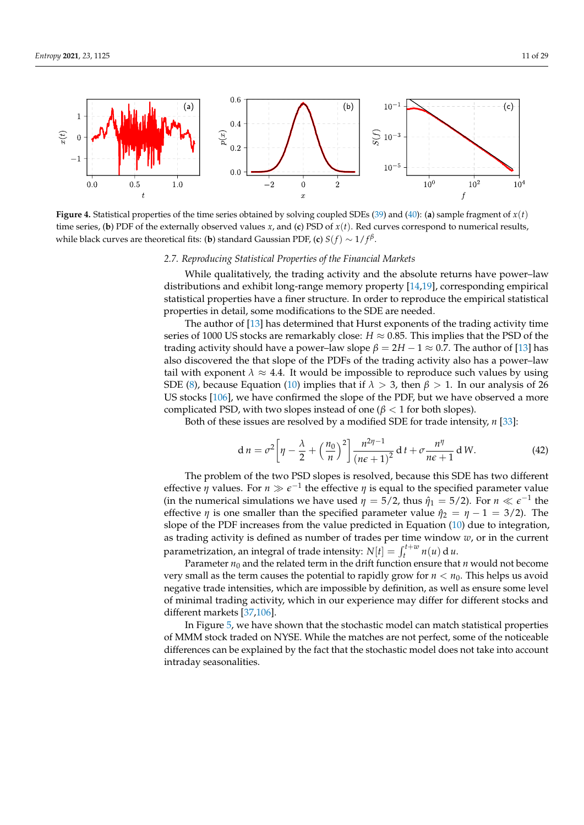<span id="page-10-0"></span>

**Figure 4.** Statistical properties of the time series obtained by solving coupled SDEs [\(39\)](#page-9-1) and [\(40\)](#page-9-2): (**a**) sample fragment of *x*(*t*) time series, (**b**) PDF of the externally observed values *x*, and (**c**) PSD of *x*(*t*). Red curves correspond to numerical results, while black curves are theoretical fits: (**b**) standard Gaussian PDF, (**c**)  $S(f) \sim 1/f^\beta$ .

# *2.7. Reproducing Statistical Properties of the Financial Markets*

While qualitatively, the trading activity and the absolute returns have power–law distributions and exhibit long-range memory property [\[14](#page-23-17)[,19\]](#page-23-3), corresponding empirical statistical properties have a finer structure. In order to reproduce the empirical statistical properties in detail, some modifications to the SDE are needed.

The author of [\[13\]](#page-23-20) has determined that Hurst exponents of the trading activity time series of 1000 US stocks are remarkably close:  $H \approx 0.85$ . This implies that the PSD of the trading activity should have a power–law slope  $\beta = 2H - 1 \approx 0.7$ . The author of [\[13\]](#page-23-20) has also discovered the that slope of the PDFs of the trading activity also has a power–law tail with exponent  $\lambda \approx 4.4$ . It would be impossible to reproduce such values by using SDE [\(8\)](#page-3-1), because Equation [\(10\)](#page-3-2) implies that if  $\lambda > 3$ , then  $\beta > 1$ . In our analysis of 26 US stocks [\[106\]](#page-26-4), we have confirmed the slope of the PDF, but we have observed a more complicated PSD, with two slopes instead of one ( $β < 1$  for both slopes).

Both of these issues are resolved by a modified SDE for trade intensity, *n* [\[33\]](#page-24-0):

<span id="page-10-1"></span>
$$
\mathrm{d}\,n = \sigma^2 \left[ \eta - \frac{\lambda}{2} + \left( \frac{n_0}{n} \right)^2 \right] \frac{n^{2\eta - 1}}{\left( n\epsilon + 1 \right)^2} \, \mathrm{d}\,t + \sigma \frac{n^{\eta}}{n\epsilon + 1} \, \mathrm{d}\,W. \tag{42}
$$

The problem of the two PSD slopes is resolved, because this SDE has two different effective  $\eta$  values. For  $n \gg \epsilon^{-1}$  the effective  $\eta$  is equal to the specified parameter value (in the numerical simulations we have used  $\eta = 5/2$ , thus  $\hat{\eta}_1 = 5/2$ ). For  $n \ll \epsilon^{-1}$  the effective *η* is one smaller than the specified parameter value  $\hat{\eta}_2 = \eta - 1 = 3/2$ . The slope of the PDF increases from the value predicted in Equation [\(10\)](#page-3-2) due to integration, as trading activity is defined as number of trades per time window *w*, or in the current parametrization, an integral of trade intensity:  $N[t] = \int_{t}^{t+w} n(u) du$ .

Parameter  $n_0$  and the related term in the drift function ensure that  $n$  would not become very small as the term causes the potential to rapidly grow for  $n < n_0$ . This helps us avoid negative trade intensities, which are impossible by definition, as well as ensure some level of minimal trading activity, which in our experience may differ for different stocks and different markets [\[37](#page-24-25)[,106\]](#page-26-4).

In Figure [5,](#page-11-0) we have shown that the stochastic model can match statistical properties of MMM stock traded on NYSE. While the matches are not perfect, some of the noticeable differences can be explained by the fact that the stochastic model does not take into account intraday seasonalities.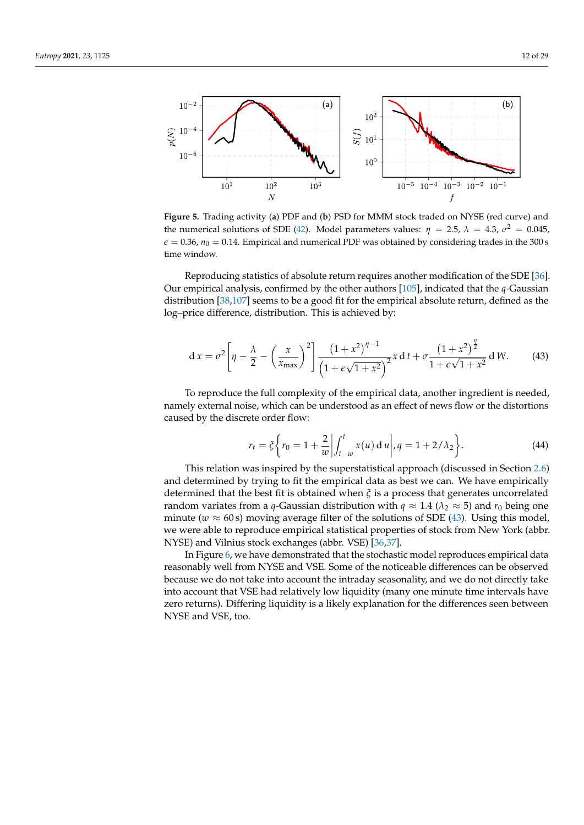<span id="page-11-0"></span>

**Figure 5.** Trading activity (**a**) PDF and (**b**) PSD for MMM stock traded on NYSE (red curve) and the numerical solutions of SDE [\(42\)](#page-10-1). Model parameters values:  $η = 2.5$ ,  $λ = 4.3$ ,  $σ² = 0.045$ ,  $\epsilon = 0.36$ ,  $n_0 = 0.14$ . Empirical and numerical PDF was obtained by considering trades in the 300 s time window.

Reproducing statistics of absolute return requires another modification of the SDE [\[36\]](#page-24-26). Our empirical analysis, confirmed by the other authors [\[105\]](#page-26-3), indicated that the *q*-Gaussian distribution [\[38,](#page-24-2)[107\]](#page-26-5) seems to be a good fit for the empirical absolute return, defined as the log–price difference, distribution. This is achieved by:

<span id="page-11-1"></span>
$$
dx = \sigma^2 \left[ \eta - \frac{\lambda}{2} - \left( \frac{x}{x_{\text{max}}} \right)^2 \right] \frac{\left( 1 + x^2 \right)^{\eta - 1}}{\left( 1 + \epsilon \sqrt{1 + x^2} \right)^2} x dt + \sigma \frac{\left( 1 + x^2 \right)^{\frac{\eta}{2}}}{1 + \epsilon \sqrt{1 + x^2}} dW. \tag{43}
$$

To reproduce the full complexity of the empirical data, another ingredient is needed, namely external noise, which can be understood as an effect of news flow or the distortions caused by the discrete order flow:

<span id="page-11-2"></span>
$$
r_t = \xi \left\{ r_0 = 1 + \frac{2}{w} \middle| \int_{t-w}^t x(u) \, \mathrm{d} \, u \middle|, q = 1 + 2/\lambda_2 \right\}.
$$
 (44)

This relation was inspired by the superstatistical approach (discussed in Section [2.6\)](#page-8-4) and determined by trying to fit the empirical data as best we can. We have empirically determined that the best fit is obtained when *ξ* is a process that generates uncorrelated random variates from a *q*-Gaussian distribution with  $q \approx 1.4$  ( $\lambda_2 \approx 5$ ) and  $r_0$  being one minute ( $w \approx 60$  s) moving average filter of the solutions of SDE [\(43\)](#page-11-1). Using this model, we were able to reproduce empirical statistical properties of stock from New York (abbr. NYSE) and Vilnius stock exchanges (abbr. VSE) [\[36,](#page-24-26)[37\]](#page-24-25).

In Figure [6,](#page-12-0) we have demonstrated that the stochastic model reproduces empirical data reasonably well from NYSE and VSE. Some of the noticeable differences can be observed because we do not take into account the intraday seasonality, and we do not directly take into account that VSE had relatively low liquidity (many one minute time intervals have zero returns). Differing liquidity is a likely explanation for the differences seen between NYSE and VSE, too.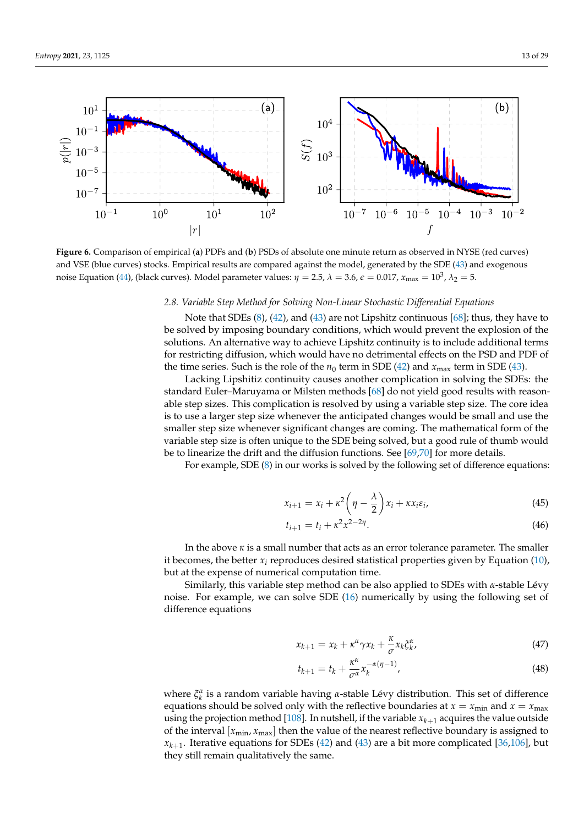<span id="page-12-0"></span>

**Figure 6.** Comparison of empirical (**a**) PDFs and (**b**) PSDs of absolute one minute return as observed in NYSE (red curves) and VSE (blue curves) stocks. Empirical results are compared against the model, generated by the SDE [\(43\)](#page-11-1) and exogenous noise Equation [\(44\)](#page-11-2), (black curves). Model parameter values:  $η = 2.5$ ,  $λ = 3.6$ ,  $ε = 0.017$ ,  $x_{max} = 10<sup>3</sup>$ ,  $λ<sub>2</sub> = 5$ .

# *2.8. Variable Step Method for Solving Non-Linear Stochastic Differential Equations*

Note that SDEs [\(8\)](#page-3-1), [\(42\)](#page-10-1), and [\(43\)](#page-11-1) are not Lipshitz continuous [\[68\]](#page-25-0); thus, they have to be solved by imposing boundary conditions, which would prevent the explosion of the solutions. An alternative way to achieve Lipshitz continuity is to include additional terms for restricting diffusion, which would have no detrimental effects on the PSD and PDF of the time series. Such is the role of the  $n_0$  term in SDE [\(42\)](#page-10-1) and  $x_{\text{max}}$  term in SDE [\(43\)](#page-11-1).

Lacking Lipshitiz continuity causes another complication in solving the SDEs: the standard Euler–Maruyama or Milsten methods [\[68\]](#page-25-0) do not yield good results with reasonable step sizes. This complication is resolved by using a variable step size. The core idea is to use a larger step size whenever the anticipated changes would be small and use the smaller step size whenever significant changes are coming. The mathematical form of the variable step size is often unique to the SDE being solved, but a good rule of thumb would be to linearize the drift and the diffusion functions. See [\[69,](#page-25-1)[70\]](#page-25-26) for more details.

For example, SDE [\(8\)](#page-3-1) in our works is solved by the following set of difference equations:

$$
x_{i+1} = x_i + \kappa^2 \left(\eta - \frac{\lambda}{2}\right) x_i + \kappa x_i \varepsilon_i, \tag{45}
$$

$$
t_{i+1} = t_i + \kappa^2 x^{2-2\eta}.
$$
\n(46)

In the above *κ* is a small number that acts as an error tolerance parameter. The smaller it becomes, the better  $x_i$  reproduces desired statistical properties given by Equation  $(10)$ , but at the expense of numerical computation time.

Similarly, this variable step method can be also applied to SDEs with *α*-stable Lévy noise. For example, we can solve SDE [\(16\)](#page-5-0) numerically by using the following set of difference equations

$$
x_{k+1} = x_k + \kappa^{\alpha} \gamma x_k + \frac{\kappa}{\sigma} x_k \xi_k^{\alpha}, \tag{47}
$$

$$
t_{k+1} = t_k + \frac{\kappa^{\alpha}}{\sigma^{\alpha}} x_k^{-\alpha(\eta - 1)},
$$
\n(48)

where  $\xi_k^{\alpha}$  is a random variable having *α*-stable Lévy distribution. This set of difference equations should be solved only with the reflective boundaries at  $x = x_{min}$  and  $x = x_{max}$ using the projection method [\[108\]](#page-26-6). In nutshell, if the variable  $x_{k+1}$  acquires the value outside of the interval  $[x_{min}, x_{max}]$  then the value of the nearest reflective boundary is assigned to  $x_{k+1}$ . Iterative equations for SDEs [\(42\)](#page-10-1) and [\(43\)](#page-11-1) are a bit more complicated [\[36](#page-24-26)[,106\]](#page-26-4), but they still remain qualitatively the same.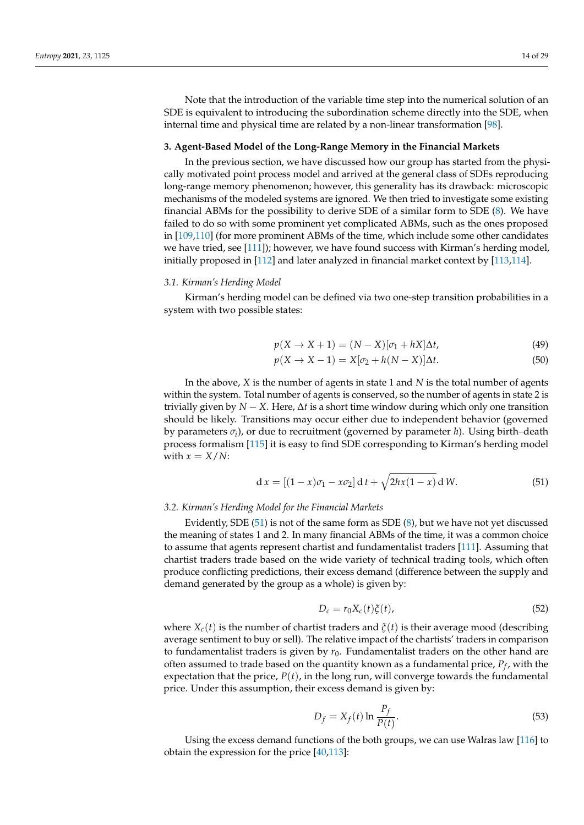Note that the introduction of the variable time step into the numerical solution of an SDE is equivalent to introducing the subordination scheme directly into the SDE, when internal time and physical time are related by a non-linear transformation [\[98\]](#page-25-22).

#### <span id="page-13-0"></span>**3. Agent-Based Model of the Long-Range Memory in the Financial Markets**

In the previous section, we have discussed how our group has started from the physically motivated point process model and arrived at the general class of SDEs reproducing long-range memory phenomenon; however, this generality has its drawback: microscopic mechanisms of the modeled systems are ignored. We then tried to investigate some existing financial ABMs for the possibility to derive SDE of a similar form to SDE [\(8\)](#page-3-1). We have failed to do so with some prominent yet complicated ABMs, such as the ones proposed in [\[109,](#page-26-7)[110\]](#page-26-8) (for more prominent ABMs of the time, which include some other candidates we have tried, see [\[111\]](#page-26-9)); however, we have found success with Kirman's herding model, initially proposed in [\[112\]](#page-26-10) and later analyzed in financial market context by [\[113,](#page-26-11)[114\]](#page-26-12).

# *3.1. Kirman's Herding Model*

Kirman's herding model can be defined via two one-step transition probabilities in a system with two possible states:

$$
p(X \to X + 1) = (N - X)[\sigma_1 + hX]\Delta t, \tag{49}
$$

$$
p(X \to X - 1) = X[\sigma_2 + h(N - X)]\Delta t. \tag{50}
$$

In the above, *X* is the number of agents in state 1 and *N* is the total number of agents within the system. Total number of agents is conserved, so the number of agents in state 2 is trivially given by  $N - X$ . Here,  $\Delta t$  is a short time window during which only one transition should be likely. Transitions may occur either due to independent behavior (governed by parameters *σ<sup>i</sup>* ), or due to recruitment (governed by parameter *h*). Using birth–death process formalism [\[115\]](#page-26-13) it is easy to find SDE corresponding to Kirman's herding model with  $x = X/N$ :

<span id="page-13-1"></span>
$$
d x = [(1-x)\sigma_1 - x\sigma_2] dt + \sqrt{2hx(1-x)} d W.
$$
 (51)

# *3.2. Kirman's Herding Model for the Financial Markets*

Evidently, SDE [\(51\)](#page-13-1) is not of the same form as SDE [\(8\)](#page-3-1), but we have not yet discussed the meaning of states 1 and 2. In many financial ABMs of the time, it was a common choice to assume that agents represent chartist and fundamentalist traders [\[111\]](#page-26-9). Assuming that chartist traders trade based on the wide variety of technical trading tools, which often produce conflicting predictions, their excess demand (difference between the supply and demand generated by the group as a whole) is given by:

$$
D_c = r_0 X_c(t) \xi(t), \qquad (52)
$$

where  $X_c(t)$  is the number of chartist traders and  $\zeta(t)$  is their average mood (describing average sentiment to buy or sell). The relative impact of the chartists' traders in comparison to fundamentalist traders is given by  $r_0$ . Fundamentalist traders on the other hand are often assumed to trade based on the quantity known as a fundamental price, *P<sup>f</sup>* , with the expectation that the price,  $P(t)$ , in the long run, will converge towards the fundamental price. Under this assumption, their excess demand is given by:

$$
D_f = X_f(t) \ln \frac{P_f}{P(t)}.
$$
\n(53)

Using the excess demand functions of the both groups, we can use Walras law [\[116\]](#page-26-14) to obtain the expression for the price  $[40,113]$  $[40,113]$ :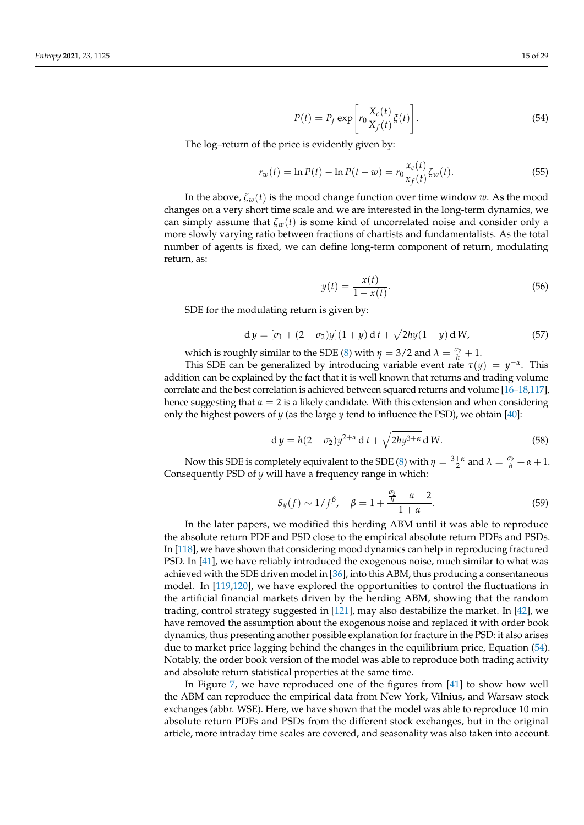<span id="page-14-0"></span>
$$
P(t) = P_f \exp\left[r_0 \frac{X_c(t)}{X_f(t)} \zeta(t)\right].
$$
\n(54)

The log–return of the price is evidently given by:

$$
r_w(t) = \ln P(t) - \ln P(t - w) = r_0 \frac{x_c(t)}{x_f(t)} \zeta_w(t).
$$
 (55)

In the above,  $\zeta_w(t)$  is the mood change function over time window *w*. As the mood changes on a very short time scale and we are interested in the long-term dynamics, we can simply assume that  $\zeta_w(t)$  is some kind of uncorrelated noise and consider only a more slowly varying ratio between fractions of chartists and fundamentalists. As the total number of agents is fixed, we can define long-term component of return, modulating return, as:

$$
y(t) = \frac{x(t)}{1 - x(t)}.
$$
\n(56)

SDE for the modulating return is given by:

$$
dy = [\sigma_1 + (2 - \sigma_2)y](1 + y) dt + \sqrt{2hy}(1 + y) dW, \tag{57}
$$

which is roughly similar to the SDE [\(8\)](#page-3-1) with  $\eta = 3/2$  and  $\lambda = \frac{\sigma_2}{h} + 1$ .

This SDE can be generalized by introducing variable event rate  $\tau(y) = y^{-\alpha}$ . This addition can be explained by the fact that it is well known that returns and trading volume correlate and the best correlation is achieved between squared returns and volume [\[16–](#page-23-21)[18,](#page-23-22)[117\]](#page-26-15), hence suggesting that  $\alpha = 2$  is a likely candidate. With this extension and when considering only the highest powers of *y* (as the large *y* tend to influence the PSD), we obtain [\[40\]](#page-24-4):

$$
dy = h(2 - \sigma_2)y^{2+\alpha} dt + \sqrt{2hy^{3+\alpha}} dW.
$$
 (58)

Now this SDE is completely equivalent to the SDE [\(8\)](#page-3-1) with  $\eta = \frac{3+\alpha}{2}$  and  $\lambda = \frac{\sigma_2}{h} + \alpha + 1$ . Consequently PSD of *y* will have a frequency range in which:

$$
S_y(f) \sim 1/f^{\beta}, \quad \beta = 1 + \frac{\frac{\sigma_2}{h} + \alpha - 2}{1 + \alpha}.
$$
 (59)

In the later papers, we modified this herding ABM until it was able to reproduce the absolute return PDF and PSD close to the empirical absolute return PDFs and PSDs. In [\[118\]](#page-26-16), we have shown that considering mood dynamics can help in reproducing fractured PSD. In [\[41\]](#page-24-5), we have reliably introduced the exogenous noise, much similar to what was achieved with the SDE driven model in [\[36\]](#page-24-26), into this ABM, thus producing a consentaneous model. In [\[119,](#page-26-17)[120\]](#page-26-18), we have explored the opportunities to control the fluctuations in the artificial financial markets driven by the herding ABM, showing that the random trading, control strategy suggested in [\[121\]](#page-26-19), may also destabilize the market. In [\[42\]](#page-24-6), we have removed the assumption about the exogenous noise and replaced it with order book dynamics, thus presenting another possible explanation for fracture in the PSD: it also arises due to market price lagging behind the changes in the equilibrium price, Equation [\(54\)](#page-14-0). Notably, the order book version of the model was able to reproduce both trading activity and absolute return statistical properties at the same time.

In Figure [7,](#page-15-0) we have reproduced one of the figures from [\[41\]](#page-24-5) to show how well the ABM can reproduce the empirical data from New York, Vilnius, and Warsaw stock exchanges (abbr. WSE). Here, we have shown that the model was able to reproduce 10 min absolute return PDFs and PSDs from the different stock exchanges, but in the original article, more intraday time scales are covered, and seasonality was also taken into account.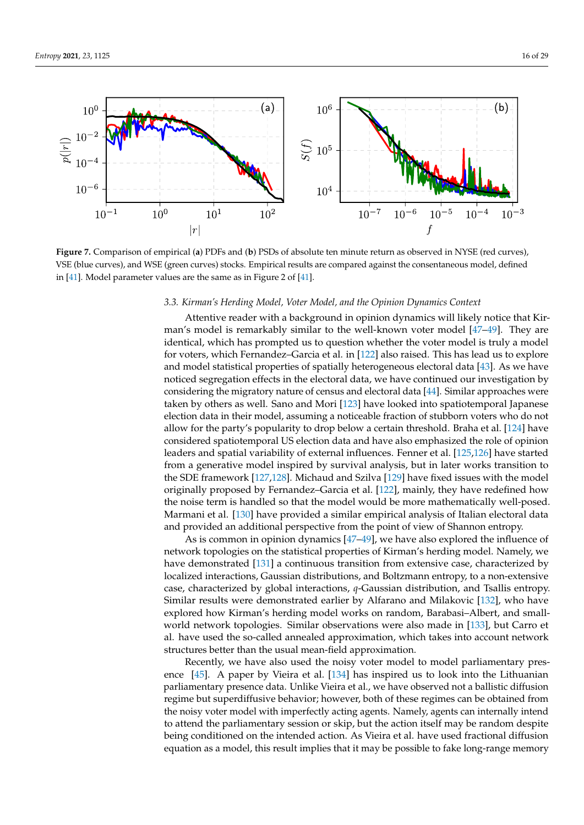<span id="page-15-0"></span>

**Figure 7.** Comparison of empirical (**a**) PDFs and (**b**) PSDs of absolute ten minute return as observed in NYSE (red curves), VSE (blue curves), and WSE (green curves) stocks. Empirical results are compared against the consentaneous model, defined in [\[41\]](#page-24-5). Model parameter values are the same as in Figure 2 of [\[41\]](#page-24-5).

# *3.3. Kirman's Herding Model, Voter Model, and the Opinion Dynamics Context*

Attentive reader with a background in opinion dynamics will likely notice that Kirman's model is remarkably similar to the well-known voter model [\[47–](#page-24-9)[49\]](#page-24-10). They are identical, which has prompted us to question whether the voter model is truly a model for voters, which Fernandez–Garcia et al. in [\[122\]](#page-26-20) also raised. This has lead us to explore and model statistical properties of spatially heterogeneous electoral data [\[43\]](#page-24-7). As we have noticed segregation effects in the electoral data, we have continued our investigation by considering the migratory nature of census and electoral data [\[44\]](#page-24-27). Similar approaches were taken by others as well. Sano and Mori [\[123\]](#page-26-21) have looked into spatiotemporal Japanese election data in their model, assuming a noticeable fraction of stubborn voters who do not allow for the party's popularity to drop below a certain threshold. Braha et al. [\[124\]](#page-26-22) have considered spatiotemporal US election data and have also emphasized the role of opinion leaders and spatial variability of external influences. Fenner et al. [\[125,](#page-26-23)[126\]](#page-26-24) have started from a generative model inspired by survival analysis, but in later works transition to the SDE framework [\[127,](#page-26-25)[128\]](#page-26-26). Michaud and Szilva [\[129\]](#page-26-27) have fixed issues with the model originally proposed by Fernandez–Garcia et al. [\[122\]](#page-26-20), mainly, they have redefined how the noise term is handled so that the model would be more mathematically well-posed. Marmani et al. [\[130\]](#page-26-28) have provided a similar empirical analysis of Italian electoral data and provided an additional perspective from the point of view of Shannon entropy.

As is common in opinion dynamics [\[47–](#page-24-9)[49\]](#page-24-10), we have also explored the influence of network topologies on the statistical properties of Kirman's herding model. Namely, we have demonstrated [\[131\]](#page-26-29) a continuous transition from extensive case, characterized by localized interactions, Gaussian distributions, and Boltzmann entropy, to a non-extensive case, characterized by global interactions, *q*-Gaussian distribution, and Tsallis entropy. Similar results were demonstrated earlier by Alfarano and Milakovic [\[132\]](#page-26-30), who have explored how Kirman's herding model works on random, Barabasi–Albert, and smallworld network topologies. Similar observations were also made in [\[133\]](#page-26-31), but Carro et al. have used the so-called annealed approximation, which takes into account network structures better than the usual mean-field approximation.

Recently, we have also used the noisy voter model to model parliamentary presence [\[45\]](#page-24-28). A paper by Vieira et al. [\[134\]](#page-26-32) has inspired us to look into the Lithuanian parliamentary presence data. Unlike Vieira et al., we have observed not a ballistic diffusion regime but superdiffusive behavior; however, both of these regimes can be obtained from the noisy voter model with imperfectly acting agents. Namely, agents can internally intend to attend the parliamentary session or skip, but the action itself may be random despite being conditioned on the intended action. As Vieira et al. have used fractional diffusion equation as a model, this result implies that it may be possible to fake long-range memory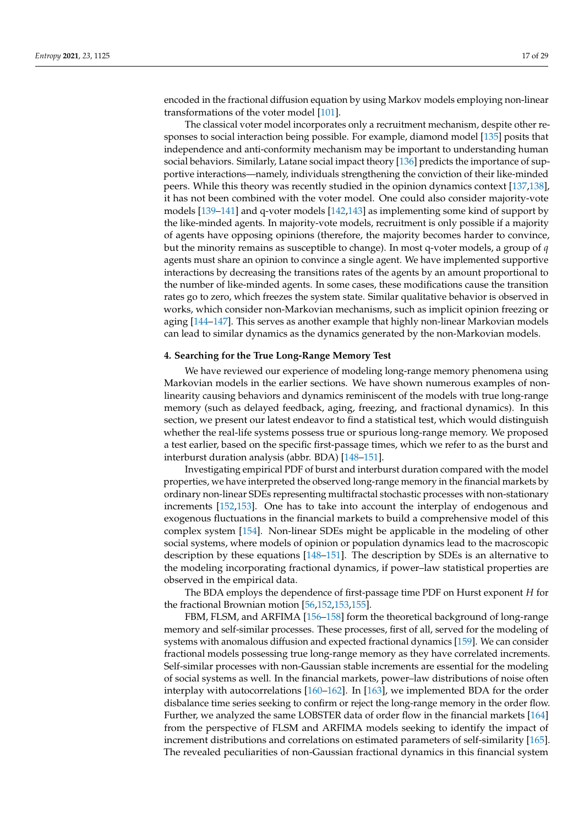encoded in the fractional diffusion equation by using Markov models employing non-linear transformations of the voter model [\[101\]](#page-25-25).

The classical voter model incorporates only a recruitment mechanism, despite other responses to social interaction being possible. For example, diamond model [\[135\]](#page-27-0) posits that independence and anti-conformity mechanism may be important to understanding human social behaviors. Similarly, Latane social impact theory [\[136\]](#page-27-1) predicts the importance of supportive interactions—namely, individuals strengthening the conviction of their like-minded peers. While this theory was recently studied in the opinion dynamics context [\[137](#page-27-2)[,138\]](#page-27-3), it has not been combined with the voter model. One could also consider majority-vote models [\[139](#page-27-4)[–141\]](#page-27-5) and q-voter models [\[142](#page-27-6)[,143\]](#page-27-7) as implementing some kind of support by the like-minded agents. In majority-vote models, recruitment is only possible if a majority of agents have opposing opinions (therefore, the majority becomes harder to convince, but the minority remains as susceptible to change). In most q-voter models, a group of *q* agents must share an opinion to convince a single agent. We have implemented supportive interactions by decreasing the transitions rates of the agents by an amount proportional to the number of like-minded agents. In some cases, these modifications cause the transition rates go to zero, which freezes the system state. Similar qualitative behavior is observed in works, which consider non-Markovian mechanisms, such as implicit opinion freezing or aging [\[144](#page-27-8)[–147\]](#page-27-9). This serves as another example that highly non-linear Markovian models can lead to similar dynamics as the dynamics generated by the non-Markovian models.

#### <span id="page-16-0"></span>**4. Searching for the True Long-Range Memory Test**

We have reviewed our experience of modeling long-range memory phenomena using Markovian models in the earlier sections. We have shown numerous examples of nonlinearity causing behaviors and dynamics reminiscent of the models with true long-range memory (such as delayed feedback, aging, freezing, and fractional dynamics). In this section, we present our latest endeavor to find a statistical test, which would distinguish whether the real-life systems possess true or spurious long-range memory. We proposed a test earlier, based on the specific first-passage times, which we refer to as the burst and interburst duration analysis (abbr. BDA) [\[148–](#page-27-10)[151\]](#page-27-11).

Investigating empirical PDF of burst and interburst duration compared with the model properties, we have interpreted the observed long-range memory in the financial markets by ordinary non-linear SDEs representing multifractal stochastic processes with non-stationary increments [\[152](#page-27-12)[,153\]](#page-27-13). One has to take into account the interplay of endogenous and exogenous fluctuations in the financial markets to build a comprehensive model of this complex system [\[154\]](#page-27-14). Non-linear SDEs might be applicable in the modeling of other social systems, where models of opinion or population dynamics lead to the macroscopic description by these equations [\[148–](#page-27-10)[151\]](#page-27-11). The description by SDEs is an alternative to the modeling incorporating fractional dynamics, if power–law statistical properties are observed in the empirical data.

The BDA employs the dependence of first-passage time PDF on Hurst exponent *H* for the fractional Brownian motion [\[56](#page-24-15)[,152](#page-27-12)[,153](#page-27-13)[,155\]](#page-27-15).

FBM, FLSM, and ARFIMA [\[156–](#page-27-16)[158\]](#page-27-17) form the theoretical background of long-range memory and self-similar processes. These processes, first of all, served for the modeling of systems with anomalous diffusion and expected fractional dynamics [\[159\]](#page-27-18). We can consider fractional models possessing true long-range memory as they have correlated increments. Self-similar processes with non-Gaussian stable increments are essential for the modeling of social systems as well. In the financial markets, power–law distributions of noise often interplay with autocorrelations [\[160–](#page-27-19)[162\]](#page-27-20). In [\[163\]](#page-27-21), we implemented BDA for the order disbalance time series seeking to confirm or reject the long-range memory in the order flow. Further, we analyzed the same LOBSTER data of order flow in the financial markets [\[164\]](#page-27-22) from the perspective of FLSM and ARFIMA models seeking to identify the impact of increment distributions and correlations on estimated parameters of self-similarity [\[165\]](#page-27-23). The revealed peculiarities of non-Gaussian fractional dynamics in this financial system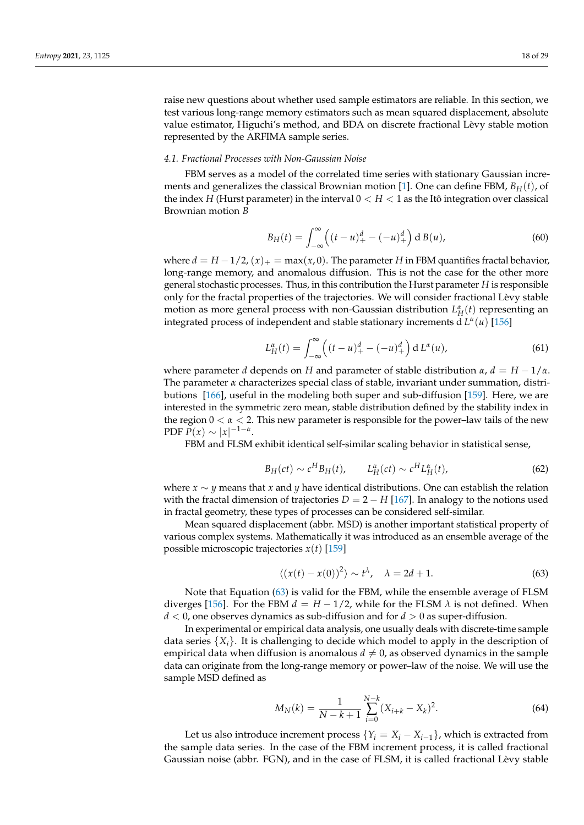raise new questions about whether used sample estimators are reliable. In this section, we test various long-range memory estimators such as mean squared displacement, absolute value estimator, Higuchi's method, and BDA on discrete fractional Lèvy stable motion represented by the ARFIMA sample series.

## *4.1. Fractional Processes with Non-Gaussian Noise*

FBM serves as a model of the correlated time series with stationary Gaussian increments and generalizes the classical Brownian motion [\[1\]](#page-23-0). One can define FBM, *BH*(*t*), of the index *H* (Hurst parameter) in the interval  $0 < H < 1$  as the Itô integration over classical Brownian motion *B*

$$
B_H(t) = \int_{-\infty}^{\infty} \left( (t - u)_+^d - (-u)_+^d \right) d B(u), \tag{60}
$$

where  $d = H - 1/2$ ,  $(x)_+ = \max(x, 0)$ . The parameter *H* in FBM quantifies fractal behavior, long-range memory, and anomalous diffusion. This is not the case for the other more general stochastic processes. Thus, in this contribution the Hurst parameter *H* is responsible only for the fractal properties of the trajectories. We will consider fractional Lèvy stable motion as more general process with non-Gaussian distribution  $L_H^{\alpha}(t)$  representing an integrated process of independent and stable stationary increments d *L α* (*u*) [\[156\]](#page-27-16)

$$
L_H^{\alpha}(t) = \int_{-\infty}^{\infty} \left( (t - u)_+^d - (-u)_+^d \right) d L^{\alpha}(u), \tag{61}
$$

where parameter *d* depends on *H* and parameter of stable distribution  $\alpha$ ,  $d = H - 1/\alpha$ . The parameter *α* characterizes special class of stable, invariant under summation, distributions [\[166\]](#page-27-24), useful in the modeling both super and sub-diffusion [\[159\]](#page-27-18). Here, we are interested in the symmetric zero mean, stable distribution defined by the stability index in the region  $0 < \alpha < 2$ . This new parameter is responsible for the power–law tails of the new  $PDF P(x) \sim |x|^{-1-\alpha}.$ 

FBM and FLSM exhibit identical self-similar scaling behavior in statistical sense,

$$
B_H(ct) \sim c^H B_H(t), \qquad L_H^{\alpha}(ct) \sim c^H L_H^{\alpha}(t), \tag{62}
$$

where *x* ∼ *y* means that *x* and *y* have identical distributions. One can establish the relation with the fractal dimension of trajectories  $D = 2 - H$  [\[167\]](#page-27-25). In analogy to the notions used in fractal geometry, these types of processes can be considered self-similar.

Mean squared displacement (abbr. MSD) is another important statistical property of various complex systems. Mathematically it was introduced as an ensemble average of the possible microscopic trajectories *x*(*t*) [\[159\]](#page-27-18)

<span id="page-17-0"></span>
$$
\langle (x(t) - x(0))^2 \rangle \sim t^{\lambda}, \quad \lambda = 2d + 1. \tag{63}
$$

Note that Equation [\(63\)](#page-17-0) is valid for the FBM, while the ensemble average of FLSM diverges [\[156\]](#page-27-16). For the FBM  $d = H - 1/2$ , while for the FLSM  $\lambda$  is not defined. When *d* < 0, one observes dynamics as sub-diffusion and for *d* > 0 as super-diffusion.

In experimental or empirical data analysis, one usually deals with discrete-time sample data series  $\{X_i\}$ . It is challenging to decide which model to apply in the description of empirical data when diffusion is anomalous  $d \neq 0$ , as observed dynamics in the sample data can originate from the long-range memory or power–law of the noise. We will use the sample MSD defined as

$$
M_N(k) = \frac{1}{N - k + 1} \sum_{i=0}^{N - k} (X_{i+k} - X_k)^2.
$$
 (64)

Let us also introduce increment process  $\{Y_i = X_i - X_{i-1}\}\$ , which is extracted from the sample data series. In the case of the FBM increment process, it is called fractional Gaussian noise (abbr. FGN), and in the case of FLSM, it is called fractional Lèvy stable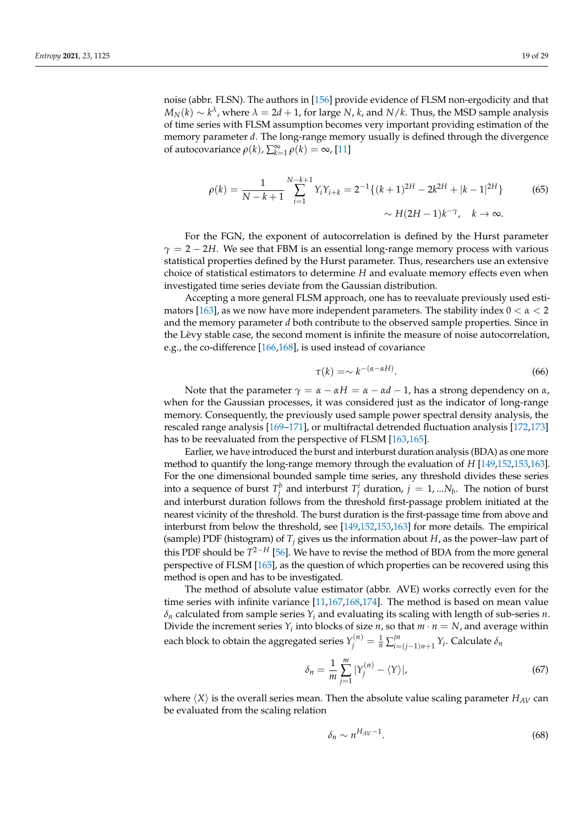$M_N(k) \sim k^{\lambda}$  , where  $\lambda = 2d+1$ , for large *N*, *k*, and *N*/*k*. Thus, the MSD sample analysis of time series with FLSM assumption becomes very important providing estimation of the memory parameter *d*. The long-range memory usually is defined through the divergence of autocovariance  $ρ(k)$ ,  $\sum_{k=1}^{\infty} ρ(k) = ∞$ , [\[11\]](#page-23-2)

$$
\rho(k) = \frac{1}{N - k + 1} \sum_{i=1}^{N - k + 1} Y_i Y_{i+k} = 2^{-1} \{ (k+1)^{2H} - 2k^{2H} + |k-1|^{2H} \}
$$
(65)  
 
$$
\sim H(2H - 1)k^{-\gamma}, \quad k \to \infty.
$$

For the FGN, the exponent of autocorrelation is defined by the Hurst parameter  $\gamma = 2 - 2H$ . We see that FBM is an essential long-range memory process with various statistical properties defined by the Hurst parameter. Thus, researchers use an extensive choice of statistical estimators to determine *H* and evaluate memory effects even when investigated time series deviate from the Gaussian distribution.

Accepting a more general FLSM approach, one has to reevaluate previously used esti-mators [\[163\]](#page-27-21), as we now have more independent parameters. The stability index  $0 < \alpha < 2$ and the memory parameter *d* both contribute to the observed sample properties. Since in the Lèvy stable case, the second moment is infinite the measure of noise autocorrelation, e.g., the co-difference [\[166,](#page-27-24)[168\]](#page-27-26), is used instead of covariance

$$
\tau(k) = \sim k^{-(\alpha - \alpha H)}.
$$
\n(66)

Note that the parameter  $γ = α − αH = α − αd − 1$ , has a strong dependency on *α*, when for the Gaussian processes, it was considered just as the indicator of long-range memory. Consequently, the previously used sample power spectral density analysis, the rescaled range analysis [\[169](#page-27-27)[–171\]](#page-28-0), or multifractal detrended fluctuation analysis [\[172,](#page-28-1)[173\]](#page-28-2) has to be reevaluated from the perspective of FLSM [\[163,](#page-27-21)[165\]](#page-27-23).

Earlier, we have introduced the burst and interburst duration analysis (BDA) as one more method to quantify the long-range memory through the evaluation of *H* [\[149](#page-27-28)[,152,](#page-27-12)[153,](#page-27-13)[163\]](#page-27-21). For the one dimensional bounded sample time series, any threshold divides these series into a sequence of burst  $T_j^b$  and interburst  $T_j^i$  duration,  $j = 1,...N_b$ . The notion of burst and interburst duration follows from the threshold first-passage problem initiated at the nearest vicinity of the threshold. The burst duration is the first-passage time from above and interburst from below the threshold, see [\[149](#page-27-28)[,152](#page-27-12)[,153,](#page-27-13)[163\]](#page-27-21) for more details. The empirical (sample) PDF (histogram) of  $T_f$  gives us the information about *H*, as the power–law part of this PDF should be *T* <sup>2</sup>−*<sup>H</sup>* [\[56\]](#page-24-15). We have to revise the method of BDA from the more general perspective of FLSM [\[165\]](#page-27-23), as the question of which properties can be recovered using this method is open and has to be investigated.

The method of absolute value estimator (abbr. AVE) works correctly even for the time series with infinite variance [\[11,](#page-23-2)[167](#page-27-25)[,168](#page-27-26)[,174\]](#page-28-3). The method is based on mean value *δ<sup>n</sup>* calculated from sample series *Y<sup>i</sup>* and evaluating its scaling with length of sub-series *n*. Divide the increment series  $Y_i$  into blocks of size *n*, so that  $m \cdot n = N$ , and average within each block to obtain the aggregated series  $Y_j^{(n)} = \frac{1}{n} \sum_{i=1}^j j_i^{(n)}$ *i*=(*j*−1)*n*+1 *Yi* . Calculate *δn*

$$
\delta_n = \frac{1}{m} \sum_{j=1}^m |Y_j^{(n)} - \langle Y \rangle|,\tag{67}
$$

where  $\langle X \rangle$  is the overall series mean. Then the absolute value scaling parameter  $H_{AV}$  can be evaluated from the scaling relation

$$
\delta_n \sim n^{H_{AV}-1}.\tag{68}
$$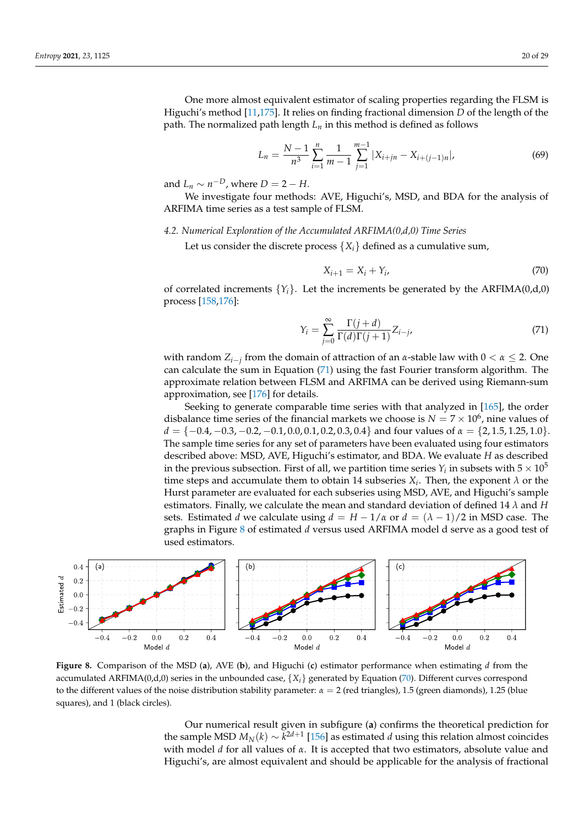One more almost equivalent estimator of scaling properties regarding the FLSM is Higuchi's method [\[11](#page-23-2)[,175\]](#page-28-4). It relies on finding fractional dimension *D* of the length of the path. The normalized path length  $L_n$  in this method is defined as follows

$$
L_n = \frac{N-1}{n^3} \sum_{i=1}^n \frac{1}{m-1} \sum_{j=1}^{m-1} |X_{i+jn} - X_{i+(j-1)n}|,\tag{69}
$$

and  $L_n \sim n^{-D}$ , where  $D = 2 - H$ .

We investigate four methods: AVE, Higuchi's, MSD, and BDA for the analysis of ARFIMA time series as a test sample of FLSM.

## *4.2. Numerical Exploration of the Accumulated ARFIMA(0,d,0) Time Series*

Let us consider the discrete process  $\{X_i\}$  defined as a cumulative sum,

<span id="page-19-2"></span>
$$
X_{i+1} = X_i + Y_i,\tag{70}
$$

of correlated increments  $\{Y_i\}$ . Let the increments be generated by the ARFIMA(0,d,0) process [\[158,](#page-27-17)[176\]](#page-28-5):

<span id="page-19-0"></span>
$$
Y_i = \sum_{j=0}^{\infty} \frac{\Gamma(j+d)}{\Gamma(d)\Gamma(j+1)} Z_{i-j},\tag{71}
$$

with random *Zi*−*<sup>j</sup>* from the domain of attraction of an *α*-stable law with 0 < *α* ≤ 2. One can calculate the sum in Equation [\(71\)](#page-19-0) using the fast Fourier transform algorithm. The approximate relation between FLSM and ARFIMA can be derived using Riemann-sum approximation, see [\[176\]](#page-28-5) for details.

Seeking to generate comparable time series with that analyzed in [\[165\]](#page-27-23), the order disbalance time series of the financial markets we choose is  $N = 7 \times 10^6$ , nine values of  $d = \{-0.4, -0.3, -0.2, -0.1, 0.0, 0.1, 0.2, 0.3, 0.4\}$  and four values of  $\alpha = \{2, 1.5, 1.25, 1.0\}$ . The sample time series for any set of parameters have been evaluated using four estimators described above: MSD, AVE, Higuchi's estimator, and BDA. We evaluate *H* as described in the previous subsection. First of all, we partition time series  $Y_i$  in subsets with  $5\times10^5$ time steps and accumulate them to obtain 14 subseries  $X_i$ . Then, the exponent  $\lambda$  or the Hurst parameter are evaluated for each subseries using MSD, AVE, and Higuchi's sample estimators. Finally, we calculate the mean and standard deviation of defined 14 *λ* and *H* sets. Estimated *d* we calculate using  $d = H - 1/a$  or  $d = (\lambda - 1)/2$  in MSD case. The graphs in Figure [8](#page-19-1) of estimated *d* versus used ARFIMA model d serve as a good test of used estimators.

<span id="page-19-1"></span>

**Figure 8.** Comparison of the MSD (**a**), AVE (**b**), and Higuchi (**c**) estimator performance when estimating *d* from the accumulated ARFIMA(0,d,0) series in the unbounded case,  $\{X_i\}$  generated by Equation [\(70\)](#page-19-2). Different curves correspond to the different values of the noise distribution stability parameter: *α* = 2 (red triangles), 1.5 (green diamonds), 1.25 (blue squares), and 1 (black circles).

Our numerical result given in subfigure (**a**) confirms the theoretical prediction for the sample MSD  $M_N(k) \sim k^{2d+1}$  [\[156\]](#page-27-16) as estimated *d* using this relation almost coincides with model *d* for all values of *α*. It is accepted that two estimators, absolute value and Higuchi's, are almost equivalent and should be applicable for the analysis of fractional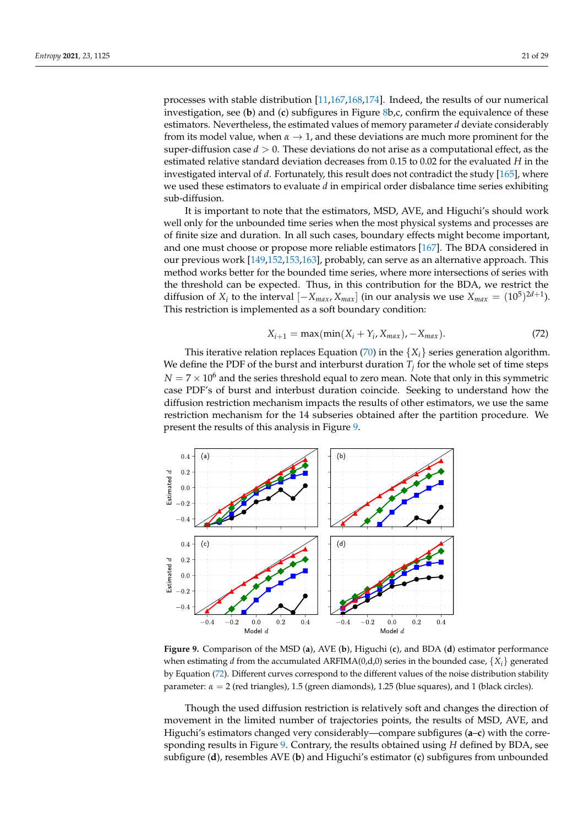processes with stable distribution [\[11](#page-23-2)[,167](#page-27-25)[,168](#page-27-26)[,174\]](#page-28-3). Indeed, the results of our numerical investigation, see (**b**) and (**c**) subfigures in Figure [8b](#page-19-1),c, confirm the equivalence of these estimators. Nevertheless, the estimated values of memory parameter *d* deviate considerably from its model value, when  $\alpha \rightarrow 1$ , and these deviations are much more prominent for the super-diffusion case  $d > 0$ . These deviations do not arise as a computational effect, as the estimated relative standard deviation decreases from 0.15 to 0.02 for the evaluated *H* in the investigated interval of *d*. Fortunately, this result does not contradict the study [\[165\]](#page-27-23), where we used these estimators to evaluate *d* in empirical order disbalance time series exhibiting sub-diffusion.

It is important to note that the estimators, MSD, AVE, and Higuchi's should work well only for the unbounded time series when the most physical systems and processes are of finite size and duration. In all such cases, boundary effects might become important, and one must choose or propose more reliable estimators [\[167\]](#page-27-25). The BDA considered in our previous work [\[149,](#page-27-28)[152](#page-27-12)[,153](#page-27-13)[,163\]](#page-27-21), probably, can serve as an alternative approach. This method works better for the bounded time series, where more intersections of series with the threshold can be expected. Thus, in this contribution for the BDA, we restrict the diffusion of *X<sub>i</sub>* to the interval  $[-X_{max}, X_{max}]$  (in our analysis we use  $X_{max} = (10^5)^{2d+1}$ ). This restriction is implemented as a soft boundary condition:

<span id="page-20-1"></span>
$$
X_{i+1} = \max(\min(X_i + Y_i, X_{max}), -X_{max}).
$$
\n(72)

This iterative relation replaces Equation [\(70\)](#page-19-2) in the  $\{X_i\}$  series generation algorithm. We define the PDF of the burst and interburst duration  $T_j$  for the whole set of time steps  $N = 7 \times 10^6$  and the series threshold equal to zero mean. Note that only in this symmetric case PDF's of burst and interbust duration coincide. Seeking to understand how the diffusion restriction mechanism impacts the results of other estimators, we use the same restriction mechanism for the 14 subseries obtained after the partition procedure. We present the results of this analysis in Figure [9.](#page-20-0)

<span id="page-20-0"></span>

**Figure 9.** Comparison of the MSD (**a**), AVE (**b**), Higuchi (**c**), and BDA (**d**) estimator performance when estimating *d* from the accumulated ARFIMA(0,d,0) series in the bounded case,  $\{X_i\}$  generated by Equation [\(72\)](#page-20-1). Different curves correspond to the different values of the noise distribution stability parameter: *α* = 2 (red triangles), 1.5 (green diamonds), 1.25 (blue squares), and 1 (black circles).

Though the used diffusion restriction is relatively soft and changes the direction of movement in the limited number of trajectories points, the results of MSD, AVE, and Higuchi's estimators changed very considerably—compare subfigures (**a**–**c**) with the corresponding results in Figure [9.](#page-20-0) Contrary, the results obtained using *H* defined by BDA, see subfigure (**d**), resembles AVE (**b**) and Higuchi's estimator (**c**) subfigures from unbounded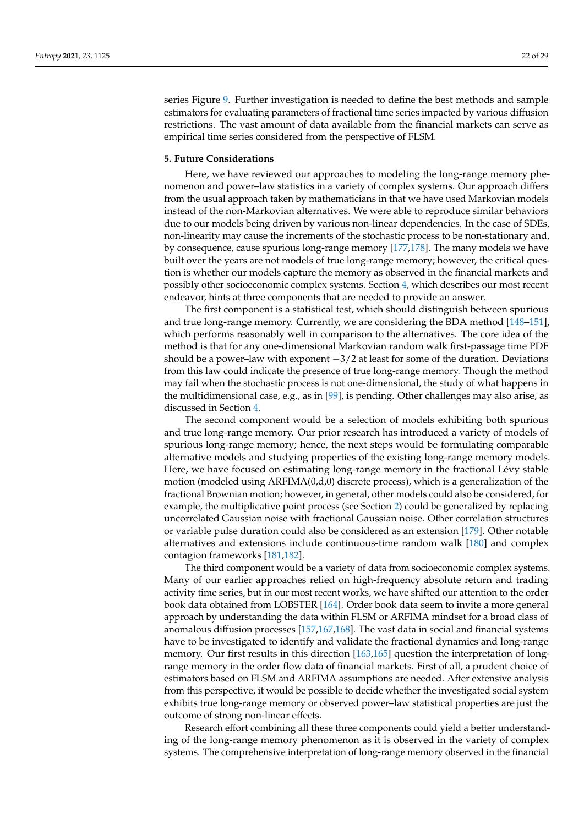series Figure [9.](#page-20-0) Further investigation is needed to define the best methods and sample estimators for evaluating parameters of fractional time series impacted by various diffusion restrictions. The vast amount of data available from the financial markets can serve as empirical time series considered from the perspective of FLSM.

# <span id="page-21-0"></span>**5. Future Considerations**

Here, we have reviewed our approaches to modeling the long-range memory phenomenon and power–law statistics in a variety of complex systems. Our approach differs from the usual approach taken by mathematicians in that we have used Markovian models instead of the non-Markovian alternatives. We were able to reproduce similar behaviors due to our models being driven by various non-linear dependencies. In the case of SDEs, non-linearity may cause the increments of the stochastic process to be non-stationary and, by consequence, cause spurious long-range memory [\[177](#page-28-6)[,178\]](#page-28-7). The many models we have built over the years are not models of true long-range memory; however, the critical question is whether our models capture the memory as observed in the financial markets and possibly other socioeconomic complex systems. Section [4,](#page-16-0) which describes our most recent endeavor, hints at three components that are needed to provide an answer.

The first component is a statistical test, which should distinguish between spurious and true long-range memory. Currently, we are considering the BDA method [\[148–](#page-27-10)[151\]](#page-27-11), which performs reasonably well in comparison to the alternatives. The core idea of the method is that for any one-dimensional Markovian random walk first-passage time PDF should be a power–law with exponent  $-3/2$  at least for some of the duration. Deviations from this law could indicate the presence of true long-range memory. Though the method may fail when the stochastic process is not one-dimensional, the study of what happens in the multidimensional case, e.g., as in [\[99\]](#page-25-23), is pending. Other challenges may also arise, as discussed in Section [4.](#page-16-0)

The second component would be a selection of models exhibiting both spurious and true long-range memory. Our prior research has introduced a variety of models of spurious long-range memory; hence, the next steps would be formulating comparable alternative models and studying properties of the existing long-range memory models. Here, we have focused on estimating long-range memory in the fractional Lévy stable motion (modeled using ARFIMA(0,d,0) discrete process), which is a generalization of the fractional Brownian motion; however, in general, other models could also be considered, for example, the multiplicative point process (see Section [2\)](#page-1-0) could be generalized by replacing uncorrelated Gaussian noise with fractional Gaussian noise. Other correlation structures or variable pulse duration could also be considered as an extension [\[179\]](#page-28-8). Other notable alternatives and extensions include continuous-time random walk [\[180\]](#page-28-9) and complex contagion frameworks [\[181](#page-28-10)[,182\]](#page-28-11).

The third component would be a variety of data from socioeconomic complex systems. Many of our earlier approaches relied on high-frequency absolute return and trading activity time series, but in our most recent works, we have shifted our attention to the order book data obtained from LOBSTER [\[164\]](#page-27-22). Order book data seem to invite a more general approach by understanding the data within FLSM or ARFIMA mindset for a broad class of anomalous diffusion processes [\[157,](#page-27-29)[167,](#page-27-25)[168\]](#page-27-26). The vast data in social and financial systems have to be investigated to identify and validate the fractional dynamics and long-range memory. Our first results in this direction [\[163,](#page-27-21)[165\]](#page-27-23) question the interpretation of longrange memory in the order flow data of financial markets. First of all, a prudent choice of estimators based on FLSM and ARFIMA assumptions are needed. After extensive analysis from this perspective, it would be possible to decide whether the investigated social system exhibits true long-range memory or observed power–law statistical properties are just the outcome of strong non-linear effects.

Research effort combining all these three components could yield a better understanding of the long-range memory phenomenon as it is observed in the variety of complex systems. The comprehensive interpretation of long-range memory observed in the financial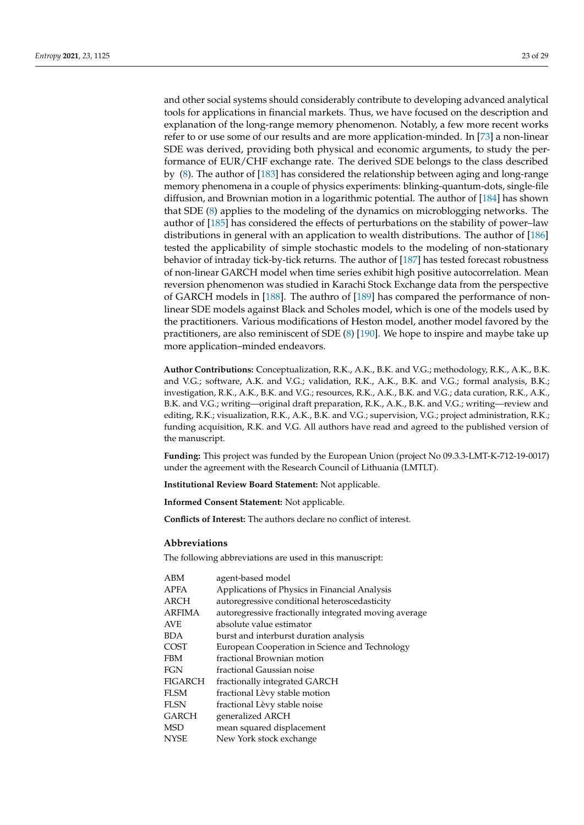and other social systems should considerably contribute to developing advanced analytical tools for applications in financial markets. Thus, we have focused on the description and explanation of the long-range memory phenomenon. Notably, a few more recent works refer to or use some of our results and are more application-minded. In [\[73\]](#page-25-4) a non-linear SDE was derived, providing both physical and economic arguments, to study the performance of EUR/CHF exchange rate. The derived SDE belongs to the class described by [\(8\)](#page-3-1). The author of [\[183\]](#page-28-12) has considered the relationship between aging and long-range memory phenomena in a couple of physics experiments: blinking-quantum-dots, single-file diffusion, and Brownian motion in a logarithmic potential. The author of [\[184\]](#page-28-13) has shown that SDE [\(8\)](#page-3-1) applies to the modeling of the dynamics on microblogging networks. The author of [\[185\]](#page-28-14) has considered the effects of perturbations on the stability of power–law distributions in general with an application to wealth distributions. The author of [\[186\]](#page-28-15) tested the applicability of simple stochastic models to the modeling of non-stationary behavior of intraday tick-by-tick returns. The author of [\[187\]](#page-28-16) has tested forecast robustness of non-linear GARCH model when time series exhibit high positive autocorrelation. Mean reversion phenomenon was studied in Karachi Stock Exchange data from the perspective of GARCH models in [\[188\]](#page-28-17). The authro of [\[189\]](#page-28-18) has compared the performance of nonlinear SDE models against Black and Scholes model, which is one of the models used by the practitioners. Various modifications of Heston model, another model favored by the practitioners, are also reminiscent of SDE [\(8\)](#page-3-1) [\[190\]](#page-28-19). We hope to inspire and maybe take up more application–minded endeavors.

**Author Contributions:** Conceptualization, R.K., A.K., B.K. and V.G.; methodology, R.K., A.K., B.K. and V.G.; software, A.K. and V.G.; validation, R.K., A.K., B.K. and V.G.; formal analysis, B.K.; investigation, R.K., A.K., B.K. and V.G.; resources, R.K., A.K., B.K. and V.G.; data curation, R.K., A.K., B.K. and V.G.; writing—original draft preparation, R.K., A.K., B.K. and V.G.; writing—review and editing, R.K.; visualization, R.K., A.K., B.K. and V.G.; supervision, V.G.; project administration, R.K.; funding acquisition, R.K. and V.G. All authors have read and agreed to the published version of the manuscript.

**Funding:** This project was funded by the European Union (project No 09.3.3-LMT-K-712-19-0017) under the agreement with the Research Council of Lithuania (LMTLT).

**Institutional Review Board Statement:** Not applicable.

**Informed Consent Statement:** Not applicable.

**Conflicts of Interest:** The authors declare no conflict of interest.

#### **Abbreviations**

The following abbreviations are used in this manuscript:

| ABM            | agent-based model                                     |
|----------------|-------------------------------------------------------|
| <b>APFA</b>    | Applications of Physics in Financial Analysis         |
| ARCH           | autoregressive conditional heteroscedasticity         |
| <b>ARFIMA</b>  | autoregressive fractionally integrated moving average |
| <b>AVE</b>     | absolute value estimator                              |
| <b>BDA</b>     | burst and interburst duration analysis                |
| <b>COST</b>    | European Cooperation in Science and Technology        |
| <b>FBM</b>     | fractional Brownian motion                            |
| <b>FGN</b>     | fractional Gaussian noise                             |
| <b>FIGARCH</b> | fractionally integrated GARCH                         |
| <b>FLSM</b>    | fractional Lèvy stable motion                         |
| <b>FLSN</b>    | fractional Lèvy stable noise                          |
| <b>GARCH</b>   | generalized ARCH                                      |
| <b>MSD</b>     | mean squared displacement                             |
| <b>NYSE</b>    | New York stock exchange                               |
|                |                                                       |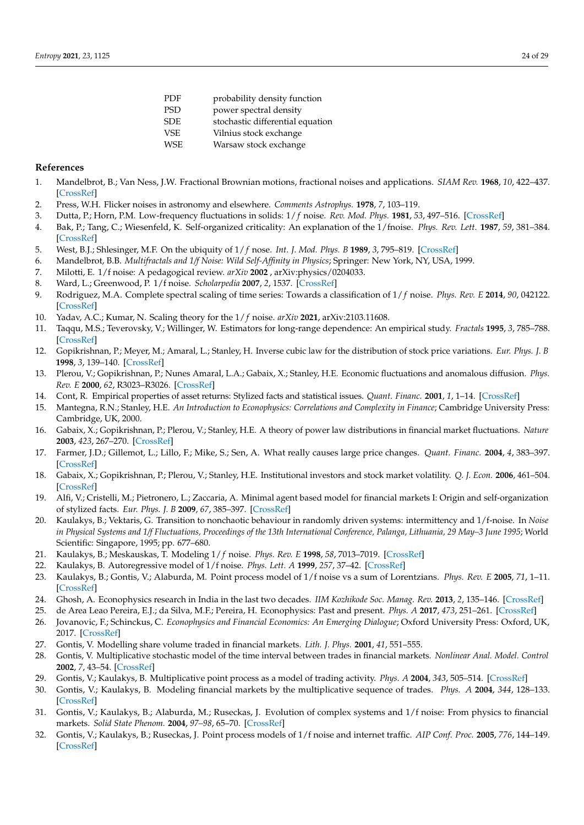| PDF | probability density function     |
|-----|----------------------------------|
| PSD | power spectral density           |
| SDE | stochastic differential equation |
| VSE | Vilnius stock exchange           |
| WSE | Warsaw stock exchange            |
|     |                                  |

# **References**

- <span id="page-23-0"></span>1. Mandelbrot, B.; Van Ness, J.W. Fractional Brownian motions, fractional noises and applications. *SIAM Rev.* **1968**, *10*, 422–437. [\[CrossRef\]](http://doi.org/10.1137/1010093)
- 2. Press, W.H. Flicker noises in astronomy and elsewhere. *Comments Astrophys.* **1978**, *7*, 103–119.
- 3. Dutta, P.; Horn, P.M. Low-frequency fluctuations in solids: 1/ *f* noise. *Rev. Mod. Phys.* **1981**, *53*, 497–516. [\[CrossRef\]](http://dx.doi.org/10.1103/RevModPhys.53.497)
- 4. Bak, P.; Tang, C.; Wiesenfeld, K. Self-organized criticality: An explanation of the 1/fnoise. *Phys. Rev. Lett.* **1987**, *59*, 381–384. [\[CrossRef\]](http://dx.doi.org/10.1103/PhysRevLett.59.381)
- 5. West, B.J.; Shlesinger, M.F. On the ubiquity of 1/ *f* nose. *Int. J. Mod. Phys. B* **1989**, *3*, 795–819. [\[CrossRef\]](http://dx.doi.org/10.1142/S0217979289000609)
- <span id="page-23-19"></span>6. Mandelbrot, B.B. *Multifractals and 1/f Noise: Wild Self-Affinity in Physics*; Springer: New York, NY, USA, 1999.
- 7. Milotti, E. 1/f noise: A pedagogical review. *arXiv* **2002** , arXiv:physics/0204033.
- 8. Ward, L.; Greenwood, P. 1/f noise. *Scholarpedia* **2007**, *2*, 1537. [\[CrossRef\]](http://dx.doi.org/10.4249/scholarpedia.1537)
- 9. Rodriguez, M.A. Complete spectral scaling of time series: Towards a classification of 1/ *f* noise. *Phys. Rev. E* **2014**, *90*, 042122. [\[CrossRef\]](http://dx.doi.org/10.1103/PhysRevE.90.042122)
- <span id="page-23-1"></span>10. Yadav, A.C.; Kumar, N. Scaling theory for the 1/ *f* noise. *arXiv* **2021**, arXiv:2103.11608.
- <span id="page-23-2"></span>11. Taqqu, M.S.; Teverovsky, V.; Willinger, W. Estimators for long-range dependence: An empirical study. *Fractals* **1995**, *3*, 785–788. [\[CrossRef\]](http://dx.doi.org/10.1142/S0218348X95000692)
- <span id="page-23-16"></span>12. Gopikrishnan, P.; Meyer, M.; Amaral, L.; Stanley, H. Inverse cubic law for the distribution of stock price variations. *Eur. Phys. J. B* **1998**, *3*, 139–140. [\[CrossRef\]](http://dx.doi.org/10.1007/s100510050292)
- <span id="page-23-20"></span>13. Plerou, V.; Gopikrishnan, P.; Nunes Amaral, L.A.; Gabaix, X.; Stanley, H.E. Economic fluctuations and anomalous diffusion. *Phys. Rev. E* **2000**, *62*, R3023–R3026. [\[CrossRef\]](http://dx.doi.org/10.1103/PhysRevE.62.R3023)
- <span id="page-23-17"></span>14. Cont, R. Empirical properties of asset returns: Stylized facts and statistical issues. *Quant. Financ.* **2001**, *1*, 1–14. [\[CrossRef\]](http://dx.doi.org/10.1080/713665670)
- <span id="page-23-18"></span>15. Mantegna, R.N.; Stanley, H.E. *An Introduction to Econophysics: Correlations and Complexity in Finance*; Cambridge University Press: Cambridge, UK, 2000.
- <span id="page-23-21"></span>16. Gabaix, X.; Gopikrishnan, P.; Plerou, V.; Stanley, H.E. A theory of power law distributions in financial market fluctuations. *Nature* **2003**, *423*, 267–270. [\[CrossRef\]](http://dx.doi.org/10.1038/nature01624)
- 17. Farmer, J.D.; Gillemot, L.; Lillo, F.; Mike, S.; Sen, A. What really causes large price changes. *Quant. Financ.* **2004**, *4*, 383–397. [\[CrossRef\]](http://dx.doi.org/10.1080/14697680400008627)
- <span id="page-23-22"></span>18. Gabaix, X.; Gopikrishnan, P.; Plerou, V.; Stanley, H.E. Institutional investors and stock market volatility. *Q. J. Econ.* **2006**, 461–504. [\[CrossRef\]](http://dx.doi.org/10.1162/qjec.2006.121.2.461)
- <span id="page-23-3"></span>19. Alfi, V.; Cristelli, M.; Pietronero, L.; Zaccaria, A. Minimal agent based model for financial markets I: Origin and self-organization of stylized facts. *Eur. Phys. J. B* **2009**, *67*, 385–397. [\[CrossRef\]](http://dx.doi.org/10.1140/epjb/e2009-00028-4)
- <span id="page-23-4"></span>20. Kaulakys, B.; Vektaris, G. Transition to nonchaotic behaviour in randomly driven systems: intermittency and 1/f-noise. In *Noise in Physical Systems and 1/f Fluctuations, Proceedings of the 13th International Conference, Palanga, Lithuania, 29 May–3 June 1995*; World Scientific: Singapore, 1995; pp. 677–680.
- <span id="page-23-11"></span>21. Kaulakys, B.; Meskauskas, T. Modeling 1/ *f* noise. *Phys. Rev. E* **1998**, *58*, 7013–7019. [\[CrossRef\]](http://dx.doi.org/10.1103/PhysRevE.58.7013)
- 22. Kaulakys, B. Autoregressive model of 1/f noise. *Phys. Lett. A* **1999**, *257*, 37–42. [\[CrossRef\]](http://dx.doi.org/10.1016/S0375-9601(99)00284-4)
- <span id="page-23-5"></span>23. Kaulakys, B.; Gontis, V.; Alaburda, M. Point process model of 1/f noise vs a sum of Lorentzians. *Phys. Rev. E* **2005**, *71*, 1–11. [\[CrossRef\]](http://dx.doi.org/10.1103/PhysRevE.71.051105)
- <span id="page-23-6"></span>24. Ghosh, A. Econophysics research in India in the last two decades. *IIM Kozhikode Soc. Manag. Rev.* **2013**, *2*, 135–146. [\[CrossRef\]](http://dx.doi.org/10.1177/2277975213507834)
- <span id="page-23-7"></span>25. de Area Leao Pereira, E.J.; da Silva, M.F.; Pereira, H. Econophysics: Past and present. *Phys. A* **2017**, *473*, 251–261. [\[CrossRef\]](http://dx.doi.org/10.1016/j.physa.2017.01.007)
- <span id="page-23-8"></span>26. Jovanovic, F.; Schinckus, C. *Econophysics and Financial Economics: An Emerging Dialogue*; Oxford University Press: Oxford, UK, 2017. [\[CrossRef\]](http://dx.doi.org/10.1093/acprof:oso/9780190205034.001.0001)
- <span id="page-23-9"></span>27. Gontis, V. Modelling share volume traded in financial markets. *Lith. J. Phys.* **2001**, *41*, 551–555.
- <span id="page-23-10"></span>28. Gontis, V. Multiplicative stochastic model of the time interval between trades in financial markets. *Nonlinear Anal. Model. Control* **2002**, *7*, 43–54. [\[CrossRef\]](http://dx.doi.org/10.15388/NA.2002.7.1.15201)
- <span id="page-23-12"></span>29. Gontis, V.; Kaulakys, B. Multiplicative point process as a model of trading activity. *Phys. A* **2004**, *343*, 505–514. [\[CrossRef\]](http://dx.doi.org/10.1016/j.physa.2004.05.080)
- <span id="page-23-13"></span>30. Gontis, V.; Kaulakys, B. Modeling financial markets by the multiplicative sequence of trades. *Phys. A* **2004**, *344*, 128–133. [\[CrossRef\]](http://dx.doi.org/10.1016/j.physa.2004.06.153)
- <span id="page-23-14"></span>31. Gontis, V.; Kaulakys, B.; Alaburda, M.; Ruseckas, J. Evolution of complex systems and 1/f noise: From physics to financial markets. *Solid State Phenom.* **2004**, *97–98*, 65–70. [\[CrossRef\]](http://dx.doi.org/10.4028/www.scientific.net/SSP.97-98.65)
- <span id="page-23-15"></span>32. Gontis, V.; Kaulakys, B.; Ruseckas, J. Point process models of 1/f noise and internet traffic. *AIP Conf. Proc.* **2005**, *776*, 144–149. [\[CrossRef\]](http://dx.doi.org/10.1063/1.1985385)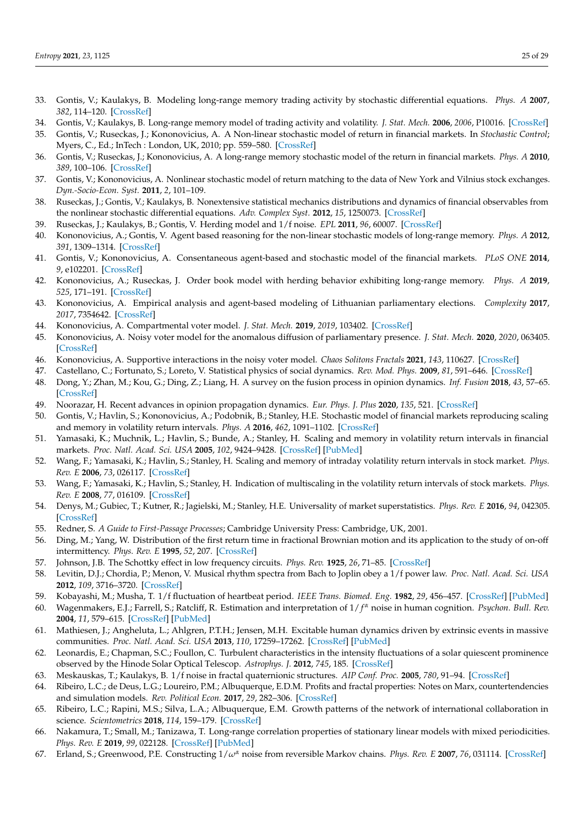- <span id="page-24-0"></span>33. Gontis, V.; Kaulakys, B. Modeling long-range memory trading activity by stochastic differential equations. *Phys. A* **2007**, *382*, 114–120. [\[CrossRef\]](http://dx.doi.org/10.1016/j.physa.2007.02.012)
- <span id="page-24-1"></span>34. Gontis, V.; Kaulakys, B. Long-range memory model of trading activity and volatility. *J. Stat. Mech.* **2006**, *2006*, P10016. [\[CrossRef\]](http://dx.doi.org/10.1088/1742-5468/2006/10/p10016)
- 35. Gontis, V.; Ruseckas, J.; Kononovicius, A. A Non-linear stochastic model of return in financial markets. In *Stochastic Control*; Myers, C., Ed.; InTech : London, UK, 2010; pp. 559–580. [\[CrossRef\]](http://dx.doi.org/10.5772/9748)
- <span id="page-24-26"></span>36. Gontis, V.; Ruseckas, J.; Kononovicius, A. A long-range memory stochastic model of the return in financial markets. *Phys. A* **2010**, *389*, 100–106. [\[CrossRef\]](http://dx.doi.org/10.1016/j.physa.2009.09.011)
- <span id="page-24-25"></span>37. Gontis, V.; Kononovicius, A. Nonlinear stochastic model of return matching to the data of New York and Vilnius stock exchanges. *Dyn.-Socio-Econ. Syst.* **2011**, *2*, 101–109.
- <span id="page-24-2"></span>38. Ruseckas, J.; Gontis, V.; Kaulakys, B. Nonextensive statistical mechanics distributions and dynamics of financial observables from the nonlinear stochastic differential equations. *Adv. Complex Syst.* **2012**, *15*, 1250073. [\[CrossRef\]](http://dx.doi.org/10.1142/S0219525912500737)
- <span id="page-24-3"></span>39. Ruseckas, J.; Kaulakys, B.; Gontis, V. Herding model and 1/f noise. *EPL* **2011**, *96*, 60007. [\[CrossRef\]](http://dx.doi.org/10.1209/0295-5075/96/60007)
- <span id="page-24-4"></span>40. Kononovicius, A.; Gontis, V. Agent based reasoning for the non-linear stochastic models of long-range memory. *Phys. A* **2012**, *391*, 1309–1314. [\[CrossRef\]](http://dx.doi.org/10.1016/j.physa.2011.08.061)
- <span id="page-24-5"></span>41. Gontis, V.; Kononovicius, A. Consentaneous agent-based and stochastic model of the financial markets. *PLoS ONE* **2014**, *9*, e102201. [\[CrossRef\]](http://dx.doi.org/10.1371/journal.pone.0102201)
- <span id="page-24-6"></span>42. Kononovicius, A.; Ruseckas, J. Order book model with herding behavior exhibiting long-range memory. *Phys. A* **2019**, *525*, 171–191. [\[CrossRef\]](http://dx.doi.org/10.1016/j.physa.2019.03.059)
- <span id="page-24-7"></span>43. Kononovicius, A. Empirical analysis and agent-based modeling of Lithuanian parliamentary elections. *Complexity* **2017**, *2017*, 7354642. [\[CrossRef\]](http://dx.doi.org/10.1155/2017/7354642)
- <span id="page-24-27"></span>44. Kononovicius, A. Compartmental voter model. *J. Stat. Mech.* **2019**, *2019*, 103402. [\[CrossRef\]](http://dx.doi.org/10.1088/1742-5468/ab409b)
- <span id="page-24-28"></span>45. Kononovicius, A. Noisy voter model for the anomalous diffusion of parliamentary presence. *J. Stat. Mech.* **2020**, *2020*, 063405. [\[CrossRef\]](http://dx.doi.org/10.1088/1742-5468/ab8c39)
- <span id="page-24-8"></span>46. Kononovicius, A. Supportive interactions in the noisy voter model. *Chaos Solitons Fractals* **2021**, *143*, 110627. [\[CrossRef\]](http://dx.doi.org/10.1016/j.chaos.2020.110627)
- <span id="page-24-9"></span>47. Castellano, C.; Fortunato, S.; Loreto, V. Statistical physics of social dynamics. *Rev. Mod. Phys.* **2009**, *81*, 591–646. [\[CrossRef\]](http://dx.doi.org/10.1103/RevModPhys.81.591)
- 48. Dong, Y.; Zhan, M.; Kou, G.; Ding, Z.; Liang, H. A survey on the fusion process in opinion dynamics. *Inf. Fusion* **2018**, *43*, 57–65. [\[CrossRef\]](http://dx.doi.org/10.1016/j.inffus.2017.11.009)
- <span id="page-24-10"></span>49. Noorazar, H. Recent advances in opinion propagation dynamics. *Eur. Phys. J. Plus* **2020**, *135*, 521. [\[CrossRef\]](http://dx.doi.org/10.1140/epjp/s13360-020-00541-2)
- <span id="page-24-11"></span>50. Gontis, V.; Havlin, S.; Kononovicius, A.; Podobnik, B.; Stanley, H.E. Stochastic model of financial markets reproducing scaling and memory in volatility return intervals. *Phys. A* **2016**, *462*, 1091–1102. [\[CrossRef\]](http://dx.doi.org/10.1016/j.physa.2016.06.143)
- <span id="page-24-12"></span>51. Yamasaki, K.; Muchnik, L.; Havlin, S.; Bunde, A.; Stanley, H. Scaling and memory in volatility return intervals in financial markets. *Proc. Natl. Acad. Sci. USA* **2005**, *102*, 9424–9428. [\[CrossRef\]](http://dx.doi.org/10.1073/pnas.0502613102) [\[PubMed\]](http://www.ncbi.nlm.nih.gov/pubmed/15980152)
- 52. Wang, F.; Yamasaki, K.; Havlin, S.; Stanley, H. Scaling and memory of intraday volatility return intervals in stock market. *Phys. Rev. E* **2006**, *73*, 026117. [\[CrossRef\]](http://dx.doi.org/10.1103/PhysRevE.73.026117)
- 53. Wang, F.; Yamasaki, K.; Havlin, S.; Stanley, H. Indication of multiscaling in the volatility return intervals of stock markets. *Phys. Rev. E* **2008**, *77*, 016109. [\[CrossRef\]](http://dx.doi.org/10.1103/PhysRevE.77.016109)
- <span id="page-24-13"></span>54. Denys, M.; Gubiec, T.; Kutner, R.; Jagielski, M.; Stanley, H.E. Universality of market superstatistics. *Phys. Rev. E* **2016**, *94*, 042305. [\[CrossRef\]](http://dx.doi.org/10.1103/PhysRevE.94.042305)
- <span id="page-24-14"></span>55. Redner, S. *A Guide to First-Passage Processes*; Cambridge University Press: Cambridge, UK, 2001.
- <span id="page-24-15"></span>56. Ding, M.; Yang, W. Distribution of the first return time in fractional Brownian motion and its application to the study of on-off intermittency. *Phys. Rev. E* **1995**, *52*, 207. [\[CrossRef\]](http://dx.doi.org/10.1103/PhysRevE.52.207)
- <span id="page-24-16"></span>57. Johnson, J.B. The Schottky effect in low frequency circuits. *Phys. Rev.* **1925**, *26*, 71–85. [\[CrossRef\]](http://dx.doi.org/10.1103/PhysRev.26.71)
- <span id="page-24-17"></span>58. Levitin, D.J.; Chordia, P.; Menon, V. Musical rhythm spectra from Bach to Joplin obey a 1/f power law. *Proc. Natl. Acad. Sci. USA* **2012**, *109*, 3716–3720. [\[CrossRef\]](http://dx.doi.org/10.1073/pnas.1113828109)
- <span id="page-24-18"></span>59. Kobayashi, M.; Musha, T. 1/f fluctuation of heartbeat period. *IEEE Trans. Biomed. Eng.* **1982**, *29*, 456–457. [\[CrossRef\]](http://dx.doi.org/10.1109/TBME.1982.324972) [\[PubMed\]](http://www.ncbi.nlm.nih.gov/pubmed/7106796)
- <span id="page-24-19"></span>60. Wagenmakers, E.J.; Farrell, S.; Ratcliff, R. Estimation and interpretation of 1/ *f <sup>α</sup>* noise in human cognition. *Psychon. Bull. Rev.* **2004**, *11*, 579–615. [\[CrossRef\]](http://dx.doi.org/10.3758/BF03196615) [\[PubMed\]](http://www.ncbi.nlm.nih.gov/pubmed/15581115)
- <span id="page-24-20"></span>61. Mathiesen, J.; Angheluta, L.; Ahlgren, P.T.H.; Jensen, M.H. Excitable human dynamics driven by extrinsic events in massive communities. *Proc. Natl. Acad. Sci. USA* **2013**, *110*, 17259–17262. [\[CrossRef\]](http://dx.doi.org/10.1073/pnas.1304179110) [\[PubMed\]](http://www.ncbi.nlm.nih.gov/pubmed/24101482)
- <span id="page-24-21"></span>62. Leonardis, E.; Chapman, S.C.; Foullon, C. Turbulent characteristics in the intensity fluctuations of a solar quiescent prominence observed by the Hinode Solar Optical Telescop. *Astrophys. J.* **2012**, *745*, 185. [\[CrossRef\]](http://dx.doi.org/10.1088/0004-637X/745/2/185)
- <span id="page-24-22"></span>63. Meskauskas, T.; Kaulakys, B. 1/f noise in fractal quaternionic structures. *AIP Conf. Proc.* **2005**, *780*, 91–94. [\[CrossRef\]](http://dx.doi.org/10.1063/1.2036706)
- 64. Ribeiro, L.C.; de Deus, L.G.; Loureiro, P.M.; Albuquerque, E.D.M. Profits and fractal properties: Notes on Marx, countertendencies and simulation models. *Rev. Political Econ.* **2017**, *29*, 282–306. [\[CrossRef\]](http://dx.doi.org/10.1080/09538259.2016.1265823)
- 65. Ribeiro, L.C.; Rapini, M.S.; Silva, L.A.; Albuquerque, E.M. Growth patterns of the network of international collaboration in science. *Scientometrics* **2018**, *114*, 159–179. [\[CrossRef\]](http://dx.doi.org/10.1007/s11192-017-2573-x)
- <span id="page-24-23"></span>66. Nakamura, T.; Small, M.; Tanizawa, T. Long-range correlation properties of stationary linear models with mixed periodicities. *Phys. Rev. E* **2019**, *99*, 022128. [\[CrossRef\]](http://dx.doi.org/10.1103/PhysRevE.99.022128) [\[PubMed\]](http://www.ncbi.nlm.nih.gov/pubmed/30934341)
- <span id="page-24-24"></span>67. Erland, S.; Greenwood, P.E. Constructing 1/*ω<sup>α</sup>* noise from reversible Markov chains. *Phys. Rev. E* **2007**, *76*, 031114. [\[CrossRef\]](http://dx.doi.org/10.1103/PhysRevE.76.031114)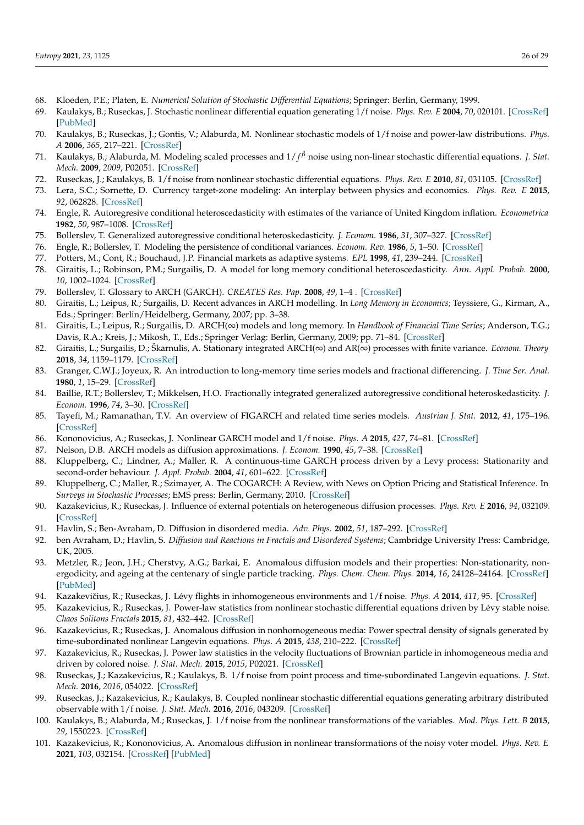- <span id="page-25-0"></span>68. Kloeden, P.E.; Platen, E. *Numerical Solution of Stochastic Differential Equations*; Springer: Berlin, Germany, 1999.
- <span id="page-25-1"></span>69. Kaulakys, B.; Ruseckas, J. Stochastic nonlinear differential equation generating 1/f noise. *Phys. Rev. E* **2004**, *70*, 020101. [\[CrossRef\]](http://dx.doi.org/10.1103/PhysRevE.70.020101) [\[PubMed\]](http://www.ncbi.nlm.nih.gov/pubmed/15447469)
- <span id="page-25-26"></span>70. Kaulakys, B.; Ruseckas, J.; Gontis, V.; Alaburda, M. Nonlinear stochastic models of 1/f noise and power-law distributions. *Phys. A* **2006**, *365*, 217–221. [\[CrossRef\]](http://dx.doi.org/10.1016/j.physa.2006.01.017)
- <span id="page-25-2"></span>71. Kaulakys, B.; Alaburda, M. Modeling scaled processes and  $1/f<sup>β</sup>$  noise using non-linear stochastic differential equations. *J. Stat. Mech.* **2009**, *2009*, P02051. [\[CrossRef\]](http://dx.doi.org/10.1088/1742-5468/2009/02/P02051)
- <span id="page-25-3"></span>72. Ruseckas, J.; Kaulakys, B. 1/f noise from nonlinear stochastic differential equations. *Phys. Rev. E* **2010**, *81*, 031105. [\[CrossRef\]](http://dx.doi.org/10.1103/PhysRevE.81.031105)
- <span id="page-25-4"></span>73. Lera, S.C.; Sornette, D. Currency target-zone modeling: An interplay between physics and economics. *Phys. Rev. E* **2015**, *92*, 062828. [\[CrossRef\]](http://dx.doi.org/10.1103/PhysRevE.92.062828)
- <span id="page-25-5"></span>74. Engle, R. Autoregresive conditional heteroscedasticity with estimates of the variance of United Kingdom inflation. *Econometrica* **1982**, *50*, 987–1008. [\[CrossRef\]](http://dx.doi.org/10.2307/1912773)
- 75. Bollerslev, T. Generalized autoregressive conditional heteroskedasticity. *J. Econom.* **1986**, *31*, 307–327. [\[CrossRef\]](http://dx.doi.org/10.1016/0304-4076(86)90063-1)
- 76. Engle, R.; Bollerslev, T. Modeling the persistence of conditional variances. *Econom. Rev.* **1986**, *5*, 1–50. [\[CrossRef\]](http://dx.doi.org/10.1080/07474938608800095)
- 77. Potters, M.; Cont, R.; Bouchaud, J.P. Financial markets as adaptive systems. *EPL* **1998**, *41*, 239–244. [\[CrossRef\]](http://dx.doi.org/10.1209/epl/i1998-00136-9)
- 78. Giraitis, L.; Robinson, P.M.; Surgailis, D. A model for long memory conditional heteroscedasticity. *Ann. Appl. Probab.* **2000**, *10*, 1002–1024. [\[CrossRef\]](http://dx.doi.org/10.1214/aoap/1019487516)
- <span id="page-25-6"></span>79. Bollerslev, T. Glossary to ARCH (GARCH). *CREATES Res. Pap.* **2008**, *49*, 1–4 . [\[CrossRef\]](http://dx.doi.org/10.2139/ssrn.1263250)
- <span id="page-25-7"></span>80. Giraitis, L.; Leipus, R.; Surgailis, D. Recent advances in ARCH modelling. In *Long Memory in Economics*; Teyssiere, G., Kirman, A., Eds.; Springer: Berlin/Heidelberg, Germany, 2007; pp. 3–38.
- 81. Giraitis, L.; Leipus, R.; Surgailis, D. ARCH(∞) models and long memory. In *Handbook of Financial Time Series*; Anderson, T.G.; Davis, R.A.; Kreis, J.; Mikosh, T., Eds.; Springer Verlag: Berlin, Germany, 2009; pp. 71–84. [\[CrossRef\]](http://dx.doi.org/10.1007/978-3-540-71297-8_3)
- <span id="page-25-8"></span>82. Giraitis, L.; Surgailis, D.; Škarnulis, A. Stationary integrated ARCH(∞) and AR(∞) processes with finite variance. *Econom. Theory* **2018**, *34*, 1159–1179. [\[CrossRef\]](http://dx.doi.org/10.1017/S0266466617000391)
- <span id="page-25-9"></span>83. Granger, C.W.J.; Joyeux, R. An introduction to long-memory time series models and fractional differencing. *J. Time Ser. Anal.* **1980**, *1*, 15–29. [\[CrossRef\]](http://dx.doi.org/10.1111/j.1467-9892.1980.tb00297.x)
- 84. Baillie, R.T.; Bollerslev, T.; Mikkelsen, H.O. Fractionally integrated generalized autoregressive conditional heteroskedasticity. *J. Econom.* **1996**, *74*, 3–30. [\[CrossRef\]](http://dx.doi.org/10.1016/S0304-4076(95)01749-6)
- <span id="page-25-10"></span>85. Tayefi, M.; Ramanathan, T.V. An overview of FIGARCH and related time series models. *Austrian J. Stat.* **2012**, *41*, 175–196. [\[CrossRef\]](http://dx.doi.org/10.17713/ajs.v41i3.172)
- <span id="page-25-11"></span>86. Kononovicius, A.; Ruseckas, J. Nonlinear GARCH model and 1/f noise. *Phys. A* **2015**, *427*, 74–81. [\[CrossRef\]](http://dx.doi.org/10.1016/j.physa.2015.02.040)
- <span id="page-25-12"></span>87. Nelson, D.B. ARCH models as diffusion approximations. *J. Econom.* **1990**, *45*, 7–38. [\[CrossRef\]](http://dx.doi.org/10.1016/0304-4076(90)90092-8)
- <span id="page-25-13"></span>88. Kluppelberg, C.; Lindner, A.; Maller, R. A continuous-time GARCH process driven by a Levy process: Stationarity and second-order behaviour. *J. Appl. Probab.* **2004**, *41*, 601–622. [\[CrossRef\]](http://dx.doi.org/10.1239/jap/1091543413)
- <span id="page-25-14"></span>89. Kluppelberg, C.; Maller, R.; Szimayer, A. The COGARCH: A Review, with News on Option Pricing and Statistical Inference. In *Surveys in Stochastic Processes*; EMS press: Berlin, Germany, 2010. [\[CrossRef\]](http://dx.doi.org/10.2139/ssrn.1538115)
- <span id="page-25-15"></span>90. Kazakevicius, R.; Ruseckas, J. Influence of external potentials on heterogeneous diffusion processes. *Phys. Rev. E* **2016**, *94*, 032109. [\[CrossRef\]](http://dx.doi.org/10.1103/PhysRevE.94.032109)
- <span id="page-25-16"></span>91. Havlin, S.; Ben-Avraham, D. Diffusion in disordered media. *Adv. Phys.* **2002**, *51*, 187–292. [\[CrossRef\]](http://dx.doi.org/10.1080/00018730110116353)
- 92. ben Avraham, D.; Havlin, S. *Diffusion and Reactions in Fractals and Disordered Systems*; Cambridge University Press: Cambridge, UK, 2005.
- <span id="page-25-17"></span>93. Metzler, R.; Jeon, J.H.; Cherstvy, A.G.; Barkai, E. Anomalous diffusion models and their properties: Non-stationarity, nonergodicity, and ageing at the centenary of single particle tracking. *Phys. Chem. Chem. Phys.* **2014**, *16*, 24128–24164. [\[CrossRef\]](http://dx.doi.org/10.1039/C4CP03465A) [\[PubMed\]](http://www.ncbi.nlm.nih.gov/pubmed/25297814)
- <span id="page-25-18"></span>94. Kazakevičius, R.; Ruseckas, J. Lévy flights in inhomogeneous environments and 1/f noise. *Phys. A* 2014, 411, 95. [\[CrossRef\]](http://dx.doi.org/10.1016/j.physa.2014.06.020)
- <span id="page-25-19"></span>95. Kazakevicius, R.; Ruseckas, J. Power-law statistics from nonlinear stochastic differential equations driven by Lévy stable noise. *Chaos Solitons Fractals* **2015**, *81*, 432–442. [\[CrossRef\]](http://dx.doi.org/10.1016/j.chaos.2015.08.024)
- <span id="page-25-20"></span>96. Kazakevicius, R.; Ruseckas, J. Anomalous diffusion in nonhomogeneous media: Power spectral density of signals generated by time-subordinated nonlinear Langevin equations. *Phys. A* **2015**, *438*, 210–222. [\[CrossRef\]](http://dx.doi.org/10.1016/j.physa.2015.06.047)
- <span id="page-25-21"></span>97. Kazakevicius, R.; Ruseckas, J. Power law statistics in the velocity fluctuations of Brownian particle in inhomogeneous media and driven by colored noise. *J. Stat. Mech.* **2015**, *2015*, P02021. [\[CrossRef\]](http://dx.doi.org/10.1088/1742-5468/2015/02/P02021)
- <span id="page-25-22"></span>98. Ruseckas, J.; Kazakevicius, R.; Kaulakys, B. 1/f noise from point process and time-subordinated Langevin equations. *J. Stat. Mech.* **2016**, *2016*, 054022. [\[CrossRef\]](http://dx.doi.org/10.1088/1742-5468/2016/05/054022)
- <span id="page-25-23"></span>99. Ruseckas, J.; Kazakevicius, R.; Kaulakys, B. Coupled nonlinear stochastic differential equations generating arbitrary distributed observable with 1/f noise. *J. Stat. Mech.* **2016**, *2016*, 043209. [\[CrossRef\]](http://dx.doi.org/10.1088/1742-5468/2016/04/043209)
- <span id="page-25-24"></span>100. Kaulakys, B.; Alaburda, M.; Ruseckas, J. 1/f noise from the nonlinear transformations of the variables. *Mod. Phys. Lett. B* **2015**, *29*, 1550223. [\[CrossRef\]](http://dx.doi.org/10.1142/S0217984915502231)
- <span id="page-25-25"></span>101. Kazakevicius, R.; Kononovicius, A. Anomalous diffusion in nonlinear transformations of the noisy voter model. *Phys. Rev. E* **2021**, *103*, 032154. [\[CrossRef\]](http://dx.doi.org/10.1103/PhysRevE.103.032154) [\[PubMed\]](http://www.ncbi.nlm.nih.gov/pubmed/33862826)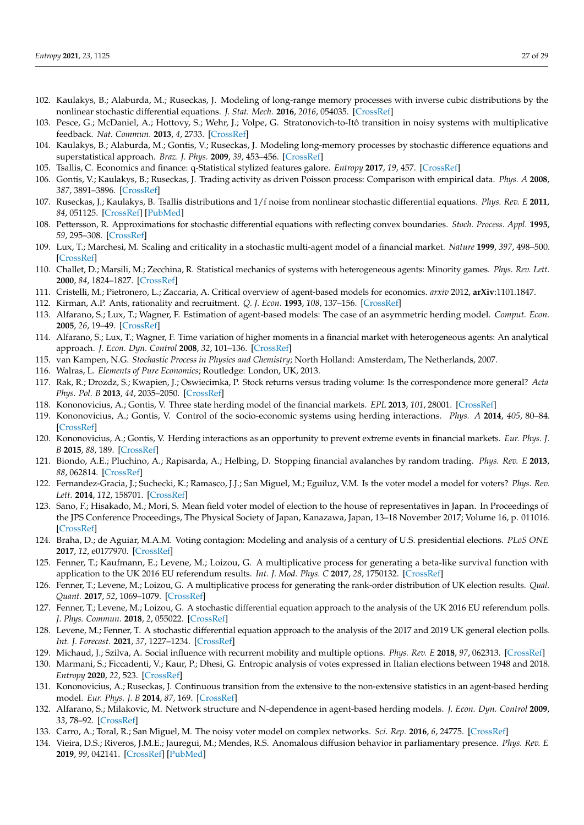- <span id="page-26-0"></span>102. Kaulakys, B.; Alaburda, M.; Ruseckas, J. Modeling of long-range memory processes with inverse cubic distributions by the nonlinear stochastic differential equations. *J. Stat. Mech.* **2016**, *2016*, 054035. [\[CrossRef\]](http://dx.doi.org/10.1088/1742-5468/2016/05/054035)
- <span id="page-26-1"></span>103. Pesce, G.; McDaniel, A.; Hottovy, S.; Wehr, J.; Volpe, G. Stratonovich-to-Itô transition in noisy systems with multiplicative feedback. *Nat. Commun.* **2013**, *4*, 2733. [\[CrossRef\]](http://dx.doi.org/10.1038/ncomms3733)
- <span id="page-26-2"></span>104. Kaulakys, B.; Alaburda, M.; Gontis, V.; Ruseckas, J. Modeling long-memory processes by stochastic difference equations and superstatistical approach. *Braz. J. Phys.* **2009**, *39*, 453–456. [\[CrossRef\]](http://dx.doi.org/10.1590/S0103-97332009000400020)
- <span id="page-26-3"></span>105. Tsallis, C. Economics and finance: q-Statistical stylized features galore. *Entropy* **2017**, *19*, 457. [\[CrossRef\]](http://dx.doi.org/10.3390/e19090457)
- <span id="page-26-4"></span>106. Gontis, V.; Kaulakys, B.; Ruseckas, J. Trading activity as driven Poisson process: Comparison with empirical data. *Phys. A* **2008**, *387*, 3891–3896. [\[CrossRef\]](http://dx.doi.org/10.1016/j.physa.2008.02.078)
- <span id="page-26-5"></span>107. Ruseckas, J.; Kaulakys, B. Tsallis distributions and 1/f noise from nonlinear stochastic differential equations. *Phys. Rev. E* **2011**, *84*, 051125. [\[CrossRef\]](http://dx.doi.org/10.1103/PhysRevE.84.051125) [\[PubMed\]](http://www.ncbi.nlm.nih.gov/pubmed/22181387)
- <span id="page-26-6"></span>108. Pettersson, R. Approximations for stochastic differential equations with reflecting convex boundaries. *Stoch. Process. Appl.* **1995**, *59*, 295–308. [\[CrossRef\]](http://dx.doi.org/10.1016/0304-4149(95)00040-E)
- <span id="page-26-7"></span>109. Lux, T.; Marchesi, M. Scaling and criticality in a stochastic multi-agent model of a financial market. *Nature* **1999**, *397*, 498–500. [\[CrossRef\]](http://dx.doi.org/10.1038/17290)
- <span id="page-26-8"></span>110. Challet, D.; Marsili, M.; Zecchina, R. Statistical mechanics of systems with heterogeneous agents: Minority games. *Phys. Rev. Lett.* **2000**, *84*, 1824–1827. [\[CrossRef\]](http://dx.doi.org/10.1103/PhysRevLett.84.1824)
- <span id="page-26-9"></span>111. Cristelli, M.; Pietronero, L.; Zaccaria, A. Critical overview of agent-based models for economics. *arxiv* 2012, **arXiv**:1101.1847.
- <span id="page-26-10"></span>112. Kirman, A.P. Ants, rationality and recruitment. *Q. J. Econ.* **1993**, *108*, 137–156. [\[CrossRef\]](http://dx.doi.org/10.2307/2118498)
- <span id="page-26-11"></span>113. Alfarano, S.; Lux, T.; Wagner, F. Estimation of agent-based models: The case of an asymmetric herding model. *Comput. Econ.* **2005**, *26*, 19–49. [\[CrossRef\]](http://dx.doi.org/10.1007/s10614-005-6415-1)
- <span id="page-26-12"></span>114. Alfarano, S.; Lux, T.; Wagner, F. Time variation of higher moments in a financial market with heterogeneous agents: An analytical approach. *J. Econ. Dyn. Control* **2008**, *32*, 101–136. [\[CrossRef\]](http://dx.doi.org/10.1016/j.jedc.2006.12.014)
- <span id="page-26-13"></span>115. van Kampen, N.G. *Stochastic Process in Physics and Chemistry*; North Holland: Amsterdam, The Netherlands, 2007.
- <span id="page-26-14"></span>116. Walras, L. *Elements of Pure Economics*; Routledge: London, UK, 2013.
- <span id="page-26-15"></span>117. Rak, R.; Drozdz, S.; Kwapien, J.; Oswiecimka, P. Stock returns versus trading volume: Is the correspondence more general? *Acta Phys. Pol. B* **2013**, *44*, 2035–2050. [\[CrossRef\]](http://dx.doi.org/10.5506/APhysPolB.44.2035)
- <span id="page-26-16"></span>118. Kononovicius, A.; Gontis, V. Three state herding model of the financial markets. *EPL* **2013**, *101*, 28001. [\[CrossRef\]](http://dx.doi.org/10.1209/0295-5075/101/28001)
- <span id="page-26-17"></span>119. Kononovicius, A.; Gontis, V. Control of the socio-economic systems using herding interactions. *Phys. A* **2014**, *405*, 80–84. [\[CrossRef\]](http://dx.doi.org/10.1016/j.physa.2014.03.003)
- <span id="page-26-18"></span>120. Kononovicius, A.; Gontis, V. Herding interactions as an opportunity to prevent extreme events in financial markets. *Eur. Phys. J. B* **2015**, *88*, 189. [\[CrossRef\]](http://dx.doi.org/10.1140/epjb/e2015-60160-0)
- <span id="page-26-19"></span>121. Biondo, A.E.; Pluchino, A.; Rapisarda, A.; Helbing, D. Stopping financial avalanches by random trading. *Phys. Rev. E* **2013**, *88*, 062814. [\[CrossRef\]](http://dx.doi.org/10.1103/PhysRevE.88.062814)
- <span id="page-26-20"></span>122. Fernandez-Gracia, J.; Suchecki, K.; Ramasco, J.J.; San Miguel, M.; Eguiluz, V.M. Is the voter model a model for voters? *Phys. Rev. Lett.* **2014**, *112*, 158701. [\[CrossRef\]](http://dx.doi.org/10.1103/PhysRevLett.112.158701)
- <span id="page-26-21"></span>123. Sano, F.; Hisakado, M.; Mori, S. Mean field voter model of election to the house of representatives in Japan. In Proceedings of the JPS Conference Proceedings, The Physical Society of Japan, Kanazawa, Japan, 13–18 November 2017; Volume 16, p. 011016. [\[CrossRef\]](http://dx.doi.org/10.7566/JPSCP.16.011016)
- <span id="page-26-22"></span>124. Braha, D.; de Aguiar, M.A.M. Voting contagion: Modeling and analysis of a century of U.S. presidential elections. *PLoS ONE* **2017**, *12*, e0177970. [\[CrossRef\]](http://dx.doi.org/10.1371/journal.pone.0177970)
- <span id="page-26-23"></span>125. Fenner, T.; Kaufmann, E.; Levene, M.; Loizou, G. A multiplicative process for generating a beta-like survival function with application to the UK 2016 EU referendum results. *Int. J. Mod. Phys. C* **2017**, *28*, 1750132. [\[CrossRef\]](http://dx.doi.org/10.1142/S0129183117501327)
- <span id="page-26-24"></span>126. Fenner, T.; Levene, M.; Loizou, G. A multiplicative process for generating the rank-order distribution of UK election results. *Qual. Quant.* **2017**, *52*, 1069–1079. [\[CrossRef\]](http://dx.doi.org/10.1007/s11135-017-0504-9)
- <span id="page-26-25"></span>127. Fenner, T.; Levene, M.; Loizou, G. A stochastic differential equation approach to the analysis of the UK 2016 EU referendum polls. *J. Phys. Commun.* **2018**, *2*, 055022. [\[CrossRef\]](http://dx.doi.org/10.1088/2399-6528/aac347)
- <span id="page-26-26"></span>128. Levene, M.; Fenner, T. A stochastic differential equation approach to the analysis of the 2017 and 2019 UK general election polls. *Int. J. Forecast.* **2021**, *37*, 1227–1234. [\[CrossRef\]](http://dx.doi.org/10.1016/j.ijforecast.2021.02.002)
- <span id="page-26-27"></span>129. Michaud, J.; Szilva, A. Social influence with recurrent mobility and multiple options. *Phys. Rev. E* **2018**, *97*, 062313. [\[CrossRef\]](http://dx.doi.org/10.1103/PhysRevE.97.062313)
- <span id="page-26-28"></span>130. Marmani, S.; Ficcadenti, V.; Kaur, P.; Dhesi, G. Entropic analysis of votes expressed in Italian elections between 1948 and 2018. *Entropy* **2020**, *22*, 523. [\[CrossRef\]](http://dx.doi.org/10.3390/e22050523)
- <span id="page-26-29"></span>131. Kononovicius, A.; Ruseckas, J. Continuous transition from the extensive to the non-extensive statistics in an agent-based herding model. *Eur. Phys. J. B* **2014**, *87*, 169. [\[CrossRef\]](http://dx.doi.org/10.1140/epjb/e2014-50349-0)
- <span id="page-26-30"></span>132. Alfarano, S.; Milakovic, M. Network structure and N-dependence in agent-based herding models. *J. Econ. Dyn. Control* **2009**, *33*, 78–92. [\[CrossRef\]](http://dx.doi.org/10.1016/j.jedc.2008.05.003)
- <span id="page-26-31"></span>133. Carro, A.; Toral, R.; San Miguel, M. The noisy voter model on complex networks. *Sci. Rep.* **2016**, *6*, 24775. [\[CrossRef\]](http://dx.doi.org/10.1038/srep24775)
- <span id="page-26-32"></span>134. Vieira, D.S.; Riveros, J.M.E.; Jauregui, M.; Mendes, R.S. Anomalous diffusion behavior in parliamentary presence. *Phys. Rev. E* **2019**, *99*, 042141. [\[CrossRef\]](http://dx.doi.org/10.1103/PhysRevE.99.042141) [\[PubMed\]](http://www.ncbi.nlm.nih.gov/pubmed/31108632)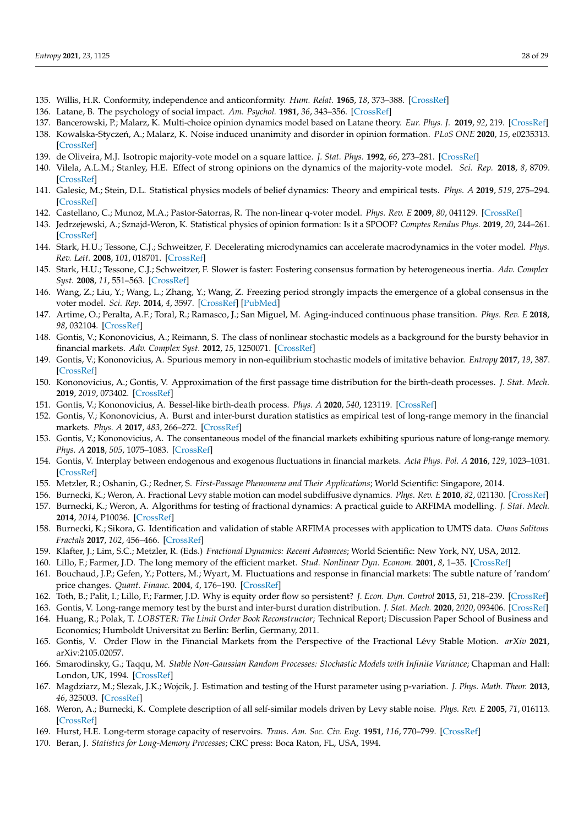- <span id="page-27-0"></span>135. Willis, H.R. Conformity, independence and anticonformity. *Hum. Relat.* **1965**, *18*, 373–388. [\[CrossRef\]](http://dx.doi.org/10.1177/001872676501800406)
- <span id="page-27-1"></span>136. Latane, B. The psychology of social impact. *Am. Psychol.* **1981**, *36*, 343–356. [\[CrossRef\]](http://dx.doi.org/10.1037/0003-066X.36.4.343)
- <span id="page-27-2"></span>137. Bancerowski, P.; Malarz, K. Multi-choice opinion dynamics model based on Latane theory. *Eur. Phys. J.* **2019**, *92*, 219. [\[CrossRef\]](http://dx.doi.org/10.1140/epjb/e2019-90533-0)
- <span id="page-27-3"></span>138. Kowalska-Styczeń, A.; Malarz, K. Noise induced unanimity and disorder in opinion formation. *PLoS ONE* 2020, 15, e0235313. [\[CrossRef\]](http://dx.doi.org/10.1371/journal.pone.0235313)
- <span id="page-27-4"></span>139. de Oliveira, M.J. Isotropic majority-vote model on a square lattice. *J. Stat. Phys.* **1992**, *66*, 273–281. [\[CrossRef\]](http://dx.doi.org/10.1007/BF01060069)
- 140. Vilela, A.L.M.; Stanley, H.E. Effect of strong opinions on the dynamics of the majority-vote model. *Sci. Rep.* **2018**, *8*, 8709. [\[CrossRef\]](http://dx.doi.org/10.1038/s41598-018-26919-y)
- <span id="page-27-5"></span>141. Galesic, M.; Stein, D.L. Statistical physics models of belief dynamics: Theory and empirical tests. *Phys. A* **2019**, *519*, 275–294. [\[CrossRef\]](http://dx.doi.org/10.1016/j.physa.2018.12.011)
- <span id="page-27-6"></span>142. Castellano, C.; Munoz, M.A.; Pastor-Satorras, R. The non-linear q-voter model. *Phys. Rev. E* **2009**, *80*, 041129. [\[CrossRef\]](http://dx.doi.org/10.1103/PhysRevE.80.041129)
- <span id="page-27-7"></span>143. Jedrzejewski, A.; Sznajd-Weron, K. Statistical physics of opinion formation: Is it a SPOOF? *Comptes Rendus Phys.* **2019**, *20*, 244–261. [\[CrossRef\]](http://dx.doi.org/10.1016/j.crhy.2019.05.002)
- <span id="page-27-8"></span>144. Stark, H.U.; Tessone, C.J.; Schweitzer, F. Decelerating microdynamics can accelerate macrodynamics in the voter model. *Phys. Rev. Lett.* **2008**, *101*, 018701. [\[CrossRef\]](http://dx.doi.org/10.1103/PhysRevLett.101.018701)
- 145. Stark, H.U.; Tessone, C.J.; Schweitzer, F. Slower is faster: Fostering consensus formation by heterogeneous inertia. *Adv. Complex Syst.* **2008**, *11*, 551–563. [\[CrossRef\]](http://dx.doi.org/10.1142/S0219525908001805)
- 146. Wang, Z.; Liu, Y.; Wang, L.; Zhang, Y.; Wang, Z. Freezing period strongly impacts the emergence of a global consensus in the voter model. *Sci. Rep.* **2014**, *4*, 3597. [\[CrossRef\]](http://dx.doi.org/10.1038/srep03597) [\[PubMed\]](http://www.ncbi.nlm.nih.gov/pubmed/24398458)
- <span id="page-27-9"></span>147. Artime, O.; Peralta, A.F.; Toral, R.; Ramasco, J.; San Miguel, M. Aging-induced continuous phase transition. *Phys. Rev. E* **2018**, *98*, 032104. [\[CrossRef\]](http://dx.doi.org/10.1103/PhysRevE.98.032104)
- <span id="page-27-10"></span>148. Gontis, V.; Kononovicius, A.; Reimann, S. The class of nonlinear stochastic models as a background for the bursty behavior in financial markets. *Adv. Complex Syst.* **2012**, *15*, 1250071. [\[CrossRef\]](http://dx.doi.org/10.1142/S0219525912500713)
- <span id="page-27-28"></span>149. Gontis, V.; Kononovicius, A. Spurious memory in non-equilibrium stochastic models of imitative behavior. *Entropy* **2017**, *19*, 387. [\[CrossRef\]](http://dx.doi.org/10.3390/e19080387)
- 150. Kononovicius, A.; Gontis, V. Approximation of the first passage time distribution for the birth-death processes. *J. Stat. Mech.* **2019**, *2019*, 073402. [\[CrossRef\]](http://dx.doi.org/10.1088/1742-5468/ab2709)
- <span id="page-27-11"></span>151. Gontis, V.; Kononovicius, A. Bessel-like birth-death process. *Phys. A* **2020**, *540*, 123119. [\[CrossRef\]](http://dx.doi.org/10.1016/j.physa.2019.123119)
- <span id="page-27-12"></span>152. Gontis, V.; Kononovicius, A. Burst and inter-burst duration statistics as empirical test of long-range memory in the financial markets. *Phys. A* **2017**, *483*, 266–272. [\[CrossRef\]](http://dx.doi.org/10.1016/j.physa.2017.04.163)
- <span id="page-27-13"></span>153. Gontis, V.; Kononovicius, A. The consentaneous model of the financial markets exhibiting spurious nature of long-range memory. *Phys. A* **2018**, *505*, 1075–1083. [\[CrossRef\]](http://dx.doi.org/10.1016/j.physa.2018.04.053)
- <span id="page-27-14"></span>154. Gontis, V. Interplay between endogenous and exogenous fluctuations in financial markets. *Acta Phys. Pol. A* **2016**, *129*, 1023–1031. [\[CrossRef\]](http://dx.doi.org/10.12693/APhysPolA.129.1023)
- <span id="page-27-15"></span>155. Metzler, R.; Oshanin, G.; Redner, S. *First-Passage Phenomena and Their Applications*; World Scientific: Singapore, 2014.
- <span id="page-27-16"></span>156. Burnecki, K.; Weron, A. Fractional Levy stable motion can model subdiffusive dynamics. *Phys. Rev. E* **2010**, *82*, 021130. [\[CrossRef\]](http://dx.doi.org/10.1103/PhysRevE.82.021130)
- <span id="page-27-29"></span>157. Burnecki, K.; Weron, A. Algorithms for testing of fractional dynamics: A practical guide to ARFIMA modelling. *J. Stat. Mech.* **2014**, *2014*, P10036. [\[CrossRef\]](http://dx.doi.org/10.1088/1742-5468/2014/10/P10036)
- <span id="page-27-17"></span>158. Burnecki, K.; Sikora, G. Identification and validation of stable ARFIMA processes with application to UMTS data. *Chaos Solitons Fractals* **2017**, *102*, 456–466. [\[CrossRef\]](http://dx.doi.org/10.1016/j.chaos.2017.03.059)
- <span id="page-27-18"></span>159. Klafter, J.; Lim, S.C.; Metzler, R. (Eds.) *Fractional Dynamics: Recent Advances*; World Scientific: New York, NY, USA, 2012.
- <span id="page-27-19"></span>160. Lillo, F.; Farmer, J.D. The long memory of the efficient market. *Stud. Nonlinear Dyn. Econom.* **2001**, *8*, 1–35. [\[CrossRef\]](http://dx.doi.org/10.2202/1558-3708.1226)
- 161. Bouchaud, J.P.; Gefen, Y.; Potters, M.; Wyart, M. Fluctuations and response in financial markets: The subtle nature of 'random' price changes. *Quant. Financ.* **2004**, *4*, 176–190. [\[CrossRef\]](http://dx.doi.org/10.1080/14697680400000022)
- <span id="page-27-20"></span>162. Toth, B.; Palit, I.; Lillo, F.; Farmer, J.D. Why is equity order flow so persistent? *J. Econ. Dyn. Control* **2015**, *51*, 218–239. [\[CrossRef\]](http://dx.doi.org/10.1016/j.jedc.2014.10.007)
- <span id="page-27-21"></span>163. Gontis, V. Long-range memory test by the burst and inter-burst duration distribution. *J. Stat. Mech.* **2020**, *2020*, 093406. [\[CrossRef\]](http://dx.doi.org/10.1088/1742-5468/abb4db)
- <span id="page-27-22"></span>164. Huang, R.; Polak, T. *LOBSTER: The Limit Order Book Reconstructor*; Technical Report; Discussion Paper School of Business and Economics; Humboldt Universitat zu Berlin: Berlin, Germany, 2011.
- <span id="page-27-23"></span>165. Gontis, V. Order Flow in the Financial Markets from the Perspective of the Fractional Lévy Stable Motion. *arXiv* **2021**, arXiv:2105.02057.
- <span id="page-27-24"></span>166. Smarodinsky, G.; Taqqu, M. *Stable Non-Gaussian Random Processes: Stochastic Models with Infinite Variance*; Chapman and Hall: London, UK, 1994. [\[CrossRef\]](http://dx.doi.org/10.2307/2291104)
- <span id="page-27-25"></span>167. Magdziarz, M.; Slezak, J.K.; Wojcik, J. Estimation and testing of the Hurst parameter using p-variation. *J. Phys. Math. Theor.* **2013**, *46*, 325003. [\[CrossRef\]](http://dx.doi.org/10.1088/1751-8113/46/32/325003)
- <span id="page-27-26"></span>168. Weron, A.; Burnecki, K. Complete description of all self-similar models driven by Levy stable noise. *Phys. Rev. E* **2005**, *71*, 016113. [\[CrossRef\]](http://dx.doi.org/10.1103/PhysRevE.71.016113)
- <span id="page-27-27"></span>169. Hurst, H.E. Long-term storage capacity of reservoirs. *Trans. Am. Soc. Civ. Eng.* **1951**, *116*, 770–799. [\[CrossRef\]](http://dx.doi.org/10.1061/TACEAT.0006518)
- 170. Beran, J. *Statistics for Long-Memory Processes*; CRC press: Boca Raton, FL, USA, 1994.